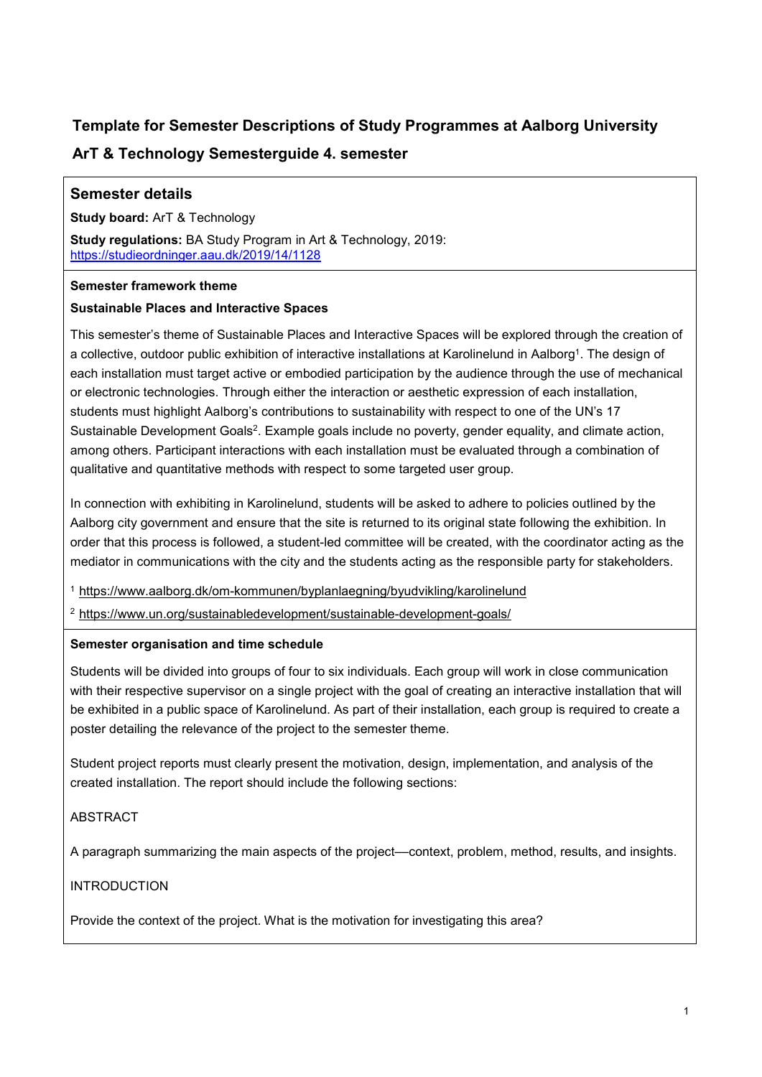# **Template for Semester Descriptions of Study Programmes at Aalborg University**

# **ArT & Technology Semesterguide 4. semester**

# **Semester details**

**Study board:** ArT & Technology

**Study regulations:** BA Study Program in Art & Technology, 2019: <https://studieordninger.aau.dk/2019/14/1128>

### **Semester framework theme**

## **Sustainable Places and Interactive Spaces**

This semester's theme of Sustainable Places and Interactive Spaces will be explored through the creation of a collective, outdoor public exhibition of interactive installations at Karolinelund in Aalborg<sup>1</sup>. The design of each installation must target active or embodied participation by the audience through the use of mechanical or electronic technologies. Through either the interaction or aesthetic expression of each installation, students must highlight Aalborg's contributions to sustainability with respect to one of the UN's 17 Sustainable Development Goals<sup>2</sup>. Example goals include no poverty, gender equality, and climate action, among others. Participant interactions with each installation must be evaluated through a combination of qualitative and quantitative methods with respect to some targeted user group.

In connection with exhibiting in Karolinelund, students will be asked to adhere to policies outlined by the Aalborg city government and ensure that the site is returned to its original state following the exhibition. In order that this process is followed, a student-led committee will be created, with the coordinator acting as the mediator in communications with the city and the students acting as the responsible party for stakeholders.

<sup>1</sup> <https://www.aalborg.dk/om-kommunen/byplanlaegning/byudvikling/karolinelund>

<sup>2</sup> <https://www.un.org/sustainabledevelopment/sustainable-development-goals/>

## **Semester organisation and time schedule**

Students will be divided into groups of four to six individuals. Each group will work in close communication with their respective supervisor on a single project with the goal of creating an interactive installation that will be exhibited in a public space of Karolinelund. As part of their installation, each group is required to create a poster detailing the relevance of the project to the semester theme.

Student project reports must clearly present the motivation, design, implementation, and analysis of the created installation. The report should include the following sections:

## ABSTRACT

A paragraph summarizing the main aspects of the project––context, problem, method, results, and insights.

INTRODUCTION

Provide the context of the project. What is the motivation for investigating this area?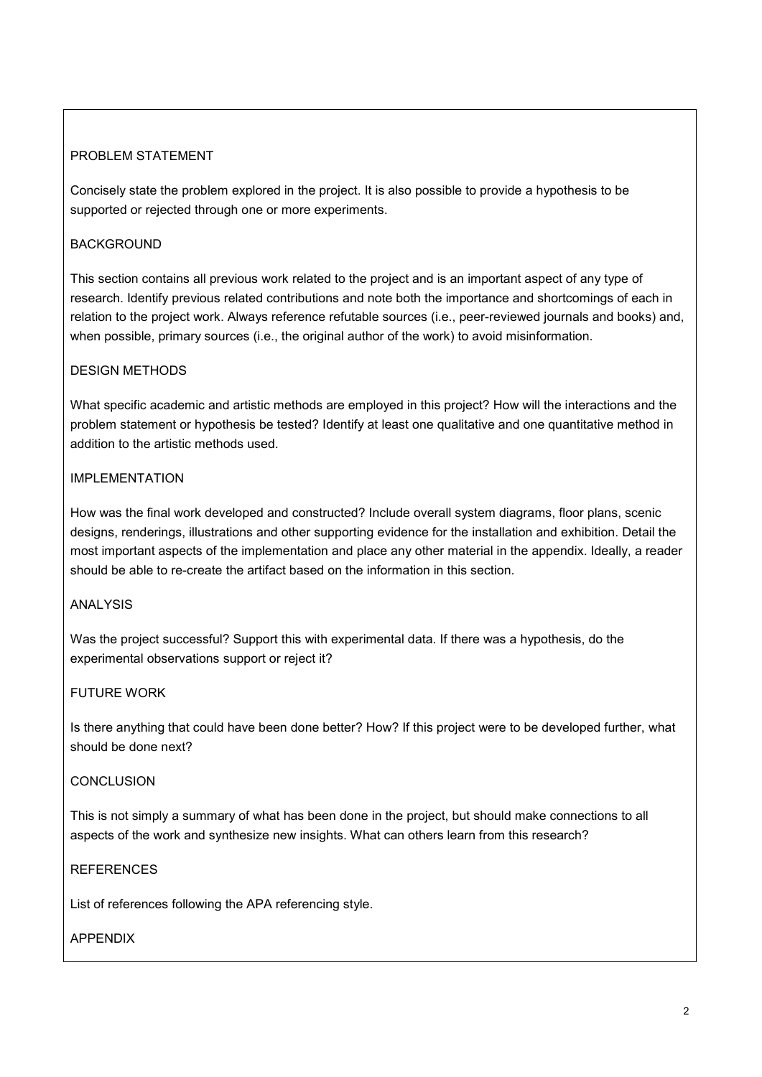# PROBLEM STATEMENT

Concisely state the problem explored in the project. It is also possible to provide a hypothesis to be supported or rejected through one or more experiments.

# BACKGROUND

This section contains all previous work related to the project and is an important aspect of any type of research. Identify previous related contributions and note both the importance and shortcomings of each in relation to the project work. Always reference refutable sources (i.e., peer-reviewed journals and books) and, when possible, primary sources (i.e., the original author of the work) to avoid misinformation.

# DESIGN METHODS

What specific academic and artistic methods are employed in this project? How will the interactions and the problem statement or hypothesis be tested? Identify at least one qualitative and one quantitative method in addition to the artistic methods used.

# IMPI FMENTATION

How was the final work developed and constructed? Include overall system diagrams, floor plans, scenic designs, renderings, illustrations and other supporting evidence for the installation and exhibition. Detail the most important aspects of the implementation and place any other material in the appendix. Ideally, a reader should be able to re-create the artifact based on the information in this section.

## ANALYSIS

Was the project successful? Support this with experimental data. If there was a hypothesis, do the experimental observations support or reject it?

## FUTURE WORK

Is there anything that could have been done better? How? If this project were to be developed further, what should be done next?

## **CONCLUSION**

This is not simply a summary of what has been done in the project, but should make connections to all aspects of the work and synthesize new insights. What can others learn from this research?

## **REFERENCES**

List of references following the APA referencing style.

## APPENDIX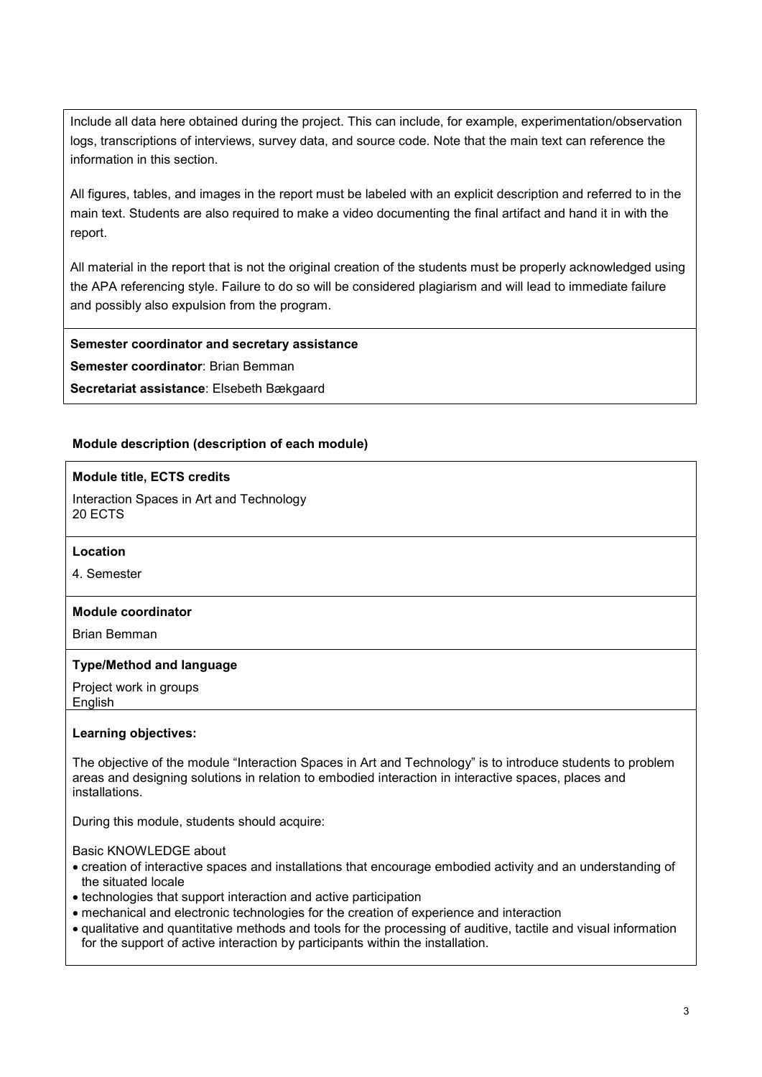Include all data here obtained during the project. This can include, for example, experimentation/observation logs, transcriptions of interviews, survey data, and source code. Note that the main text can reference the information in this section.

All figures, tables, and images in the report must be labeled with an explicit description and referred to in the main text. Students are also required to make a video documenting the final artifact and hand it in with the report.

All material in the report that is not the original creation of the students must be properly acknowledged using the APA referencing style. Failure to do so will be considered plagiarism and will lead to immediate failure and possibly also expulsion from the program.

**Semester coordinator and secretary assistance**

**Semester coordinator**: Brian Bemman

**Secretariat assistance**: Elsebeth Bækgaard

#### **Module description (description of each module)**

#### **Module title, ECTS credits**

Interaction Spaces in Art and Technology 20 ECTS

#### **Location**

4. Semester

#### **Module coordinator**

Brian Bemman

#### **Type/Method and language**

Project work in groups English

#### **Learning objectives:**

The objective of the module "Interaction Spaces in Art and Technology" is to introduce students to problem areas and designing solutions in relation to embodied interaction in interactive spaces, places and installations.

During this module, students should acquire:

Basic KNOWLEDGE about

- creation of interactive spaces and installations that encourage embodied activity and an understanding of the situated locale
- technologies that support interaction and active participation
- mechanical and electronic technologies for the creation of experience and interaction
- qualitative and quantitative methods and tools for the processing of auditive, tactile and visual information for the support of active interaction by participants within the installation.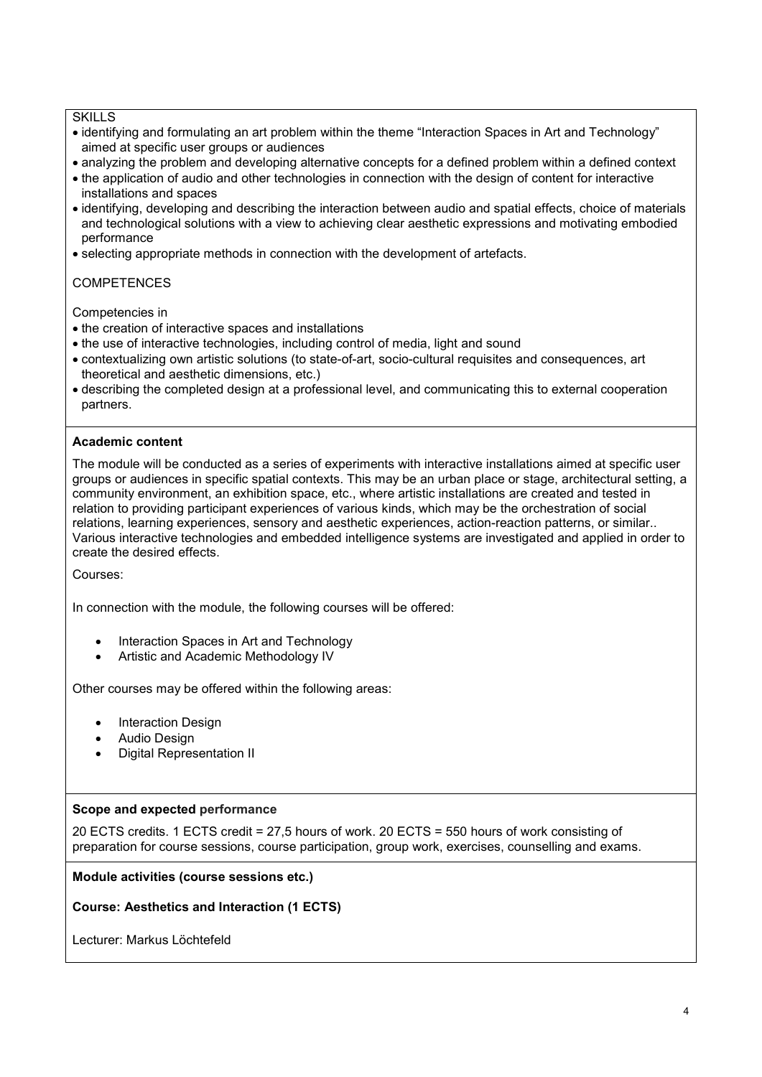#### **SKILLS**

- identifying and formulating an art problem within the theme "Interaction Spaces in Art and Technology" aimed at specific user groups or audiences
- analyzing the problem and developing alternative concepts for a defined problem within a defined context
- the application of audio and other technologies in connection with the design of content for interactive installations and spaces
- identifying, developing and describing the interaction between audio and spatial effects, choice of materials and technological solutions with a view to achieving clear aesthetic expressions and motivating embodied performance
- selecting appropriate methods in connection with the development of artefacts.

### **COMPETENCES**

Competencies in

- the creation of interactive spaces and installations
- the use of interactive technologies, including control of media, light and sound
- contextualizing own artistic solutions (to state-of-art, socio-cultural requisites and consequences, art theoretical and aesthetic dimensions, etc.)
- describing the completed design at a professional level, and communicating this to external cooperation partners.

#### **Academic content**

The module will be conducted as a series of experiments with interactive installations aimed at specific user groups or audiences in specific spatial contexts. This may be an urban place or stage, architectural setting, a community environment, an exhibition space, etc., where artistic installations are created and tested in relation to providing participant experiences of various kinds, which may be the orchestration of social relations, learning experiences, sensory and aesthetic experiences, action-reaction patterns, or similar.. Various interactive technologies and embedded intelligence systems are investigated and applied in order to create the desired effects.

Courses:

In connection with the module, the following courses will be offered:

- Interaction Spaces in Art and Technology
- Artistic and Academic Methodology IV

Other courses may be offered within the following areas:

- Interaction Design
- Audio Design
- Digital Representation II

#### **Scope and expected performance**

20 ECTS credits. 1 ECTS credit = 27,5 hours of work. 20 ECTS = 550 hours of work consisting of preparation for course sessions, course participation, group work, exercises, counselling and exams.

**Module activities (course sessions etc.)**

**Course: Aesthetics and Interaction (1 ECTS)**

Lecturer: Markus Löchtefeld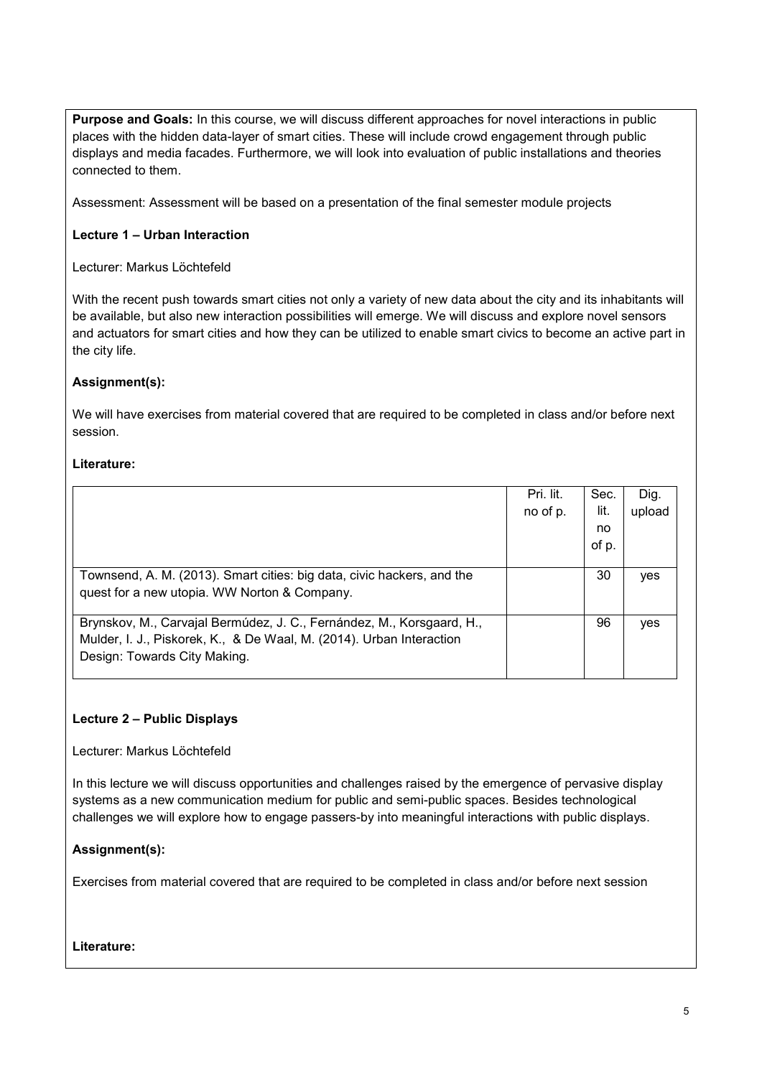**Purpose and Goals:** In this course, we will discuss different approaches for novel interactions in public places with the hidden data-layer of smart cities. These will include crowd engagement through public displays and media facades. Furthermore, we will look into evaluation of public installations and theories connected to them.

Assessment: Assessment will be based on a presentation of the final semester module projects

### **Lecture 1 – Urban Interaction**

Lecturer: Markus Löchtefeld

With the recent push towards smart cities not only a variety of new data about the city and its inhabitants will be available, but also new interaction possibilities will emerge. We will discuss and explore novel sensors and actuators for smart cities and how they can be utilized to enable smart civics to become an active part in the city life.

#### **Assignment(s):**

We will have exercises from material covered that are required to be completed in class and/or before next session.

#### **Literature:**

|                                                                        | Pri. lit. | Sec.  | Dig.   |
|------------------------------------------------------------------------|-----------|-------|--------|
|                                                                        | no of p.  | lit.  | upload |
|                                                                        |           | no    |        |
|                                                                        |           | of p. |        |
|                                                                        |           |       |        |
| Townsend, A. M. (2013). Smart cities: big data, civic hackers, and the |           | 30    | yes    |
| quest for a new utopia. WW Norton & Company.                           |           |       |        |
|                                                                        |           |       |        |
| Brynskov, M., Carvajal Bermúdez, J. C., Fernández, M., Korsgaard, H.,  |           | 96    | yes    |
| Mulder, I. J., Piskorek, K., & De Waal, M. (2014). Urban Interaction   |           |       |        |
| Design: Towards City Making.                                           |           |       |        |
|                                                                        |           |       |        |

## **Lecture 2 – Public Displays**

Lecturer: Markus Löchtefeld

In this lecture we will discuss opportunities and challenges raised by the emergence of pervasive display systems as a new communication medium for public and semi-public spaces. Besides technological challenges we will explore how to engage passers-by into meaningful interactions with public displays.

## **Assignment(s):**

Exercises from material covered that are required to be completed in class and/or before next session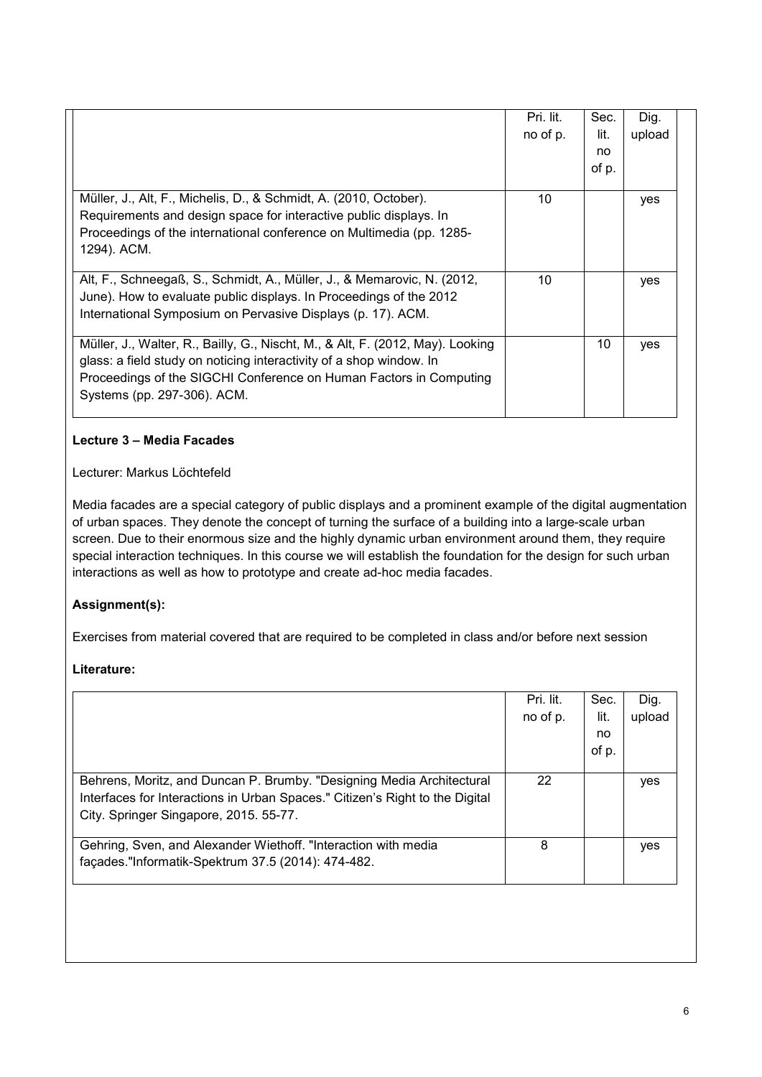|                                                                                | Pri. lit. | Sec.  | Dig.   |  |
|--------------------------------------------------------------------------------|-----------|-------|--------|--|
|                                                                                | no of p.  | lit.  | upload |  |
|                                                                                |           | no    |        |  |
|                                                                                |           | of p. |        |  |
|                                                                                |           |       |        |  |
| Müller, J., Alt, F., Michelis, D., & Schmidt, A. (2010, October).              | 10        |       | yes    |  |
| Requirements and design space for interactive public displays. In              |           |       |        |  |
| Proceedings of the international conference on Multimedia (pp. 1285-           |           |       |        |  |
| 1294). ACM.                                                                    |           |       |        |  |
|                                                                                |           |       |        |  |
| Alt, F., Schneegaß, S., Schmidt, A., Müller, J., & Memarovic, N. (2012,        | 10        |       | yes    |  |
| June). How to evaluate public displays. In Proceedings of the 2012             |           |       |        |  |
| International Symposium on Pervasive Displays (p. 17). ACM.                    |           |       |        |  |
|                                                                                |           |       |        |  |
| Müller, J., Walter, R., Bailly, G., Nischt, M., & Alt, F. (2012, May). Looking |           | 10    | yes    |  |
| glass: a field study on noticing interactivity of a shop window. In            |           |       |        |  |
| Proceedings of the SIGCHI Conference on Human Factors in Computing             |           |       |        |  |
| Systems (pp. 297-306). ACM.                                                    |           |       |        |  |
|                                                                                |           |       |        |  |

## **Lecture 3 – Media Facades**

## Lecturer: Markus Löchtefeld

Media facades are a special category of public displays and a prominent example of the digital augmentation of urban spaces. They denote the concept of turning the surface of a building into a large-scale urban screen. Due to their enormous size and the highly dynamic urban environment around them, they require special interaction techniques. In this course we will establish the foundation for the design for such urban interactions as well as how to prototype and create ad-hoc media facades.

# **Assignment(s):**

Exercises from material covered that are required to be completed in class and/or before next session

|                                                                              | Pri. lit. | Sec.  | Dig.   |
|------------------------------------------------------------------------------|-----------|-------|--------|
|                                                                              | no of p.  | lit.  | upload |
|                                                                              |           | no    |        |
|                                                                              |           | of p. |        |
| Behrens, Moritz, and Duncan P. Brumby. "Designing Media Architectural        | 22        |       | yes    |
| Interfaces for Interactions in Urban Spaces." Citizen's Right to the Digital |           |       |        |
| City. Springer Singapore, 2015. 55-77.                                       |           |       |        |
| Gehring, Sven, and Alexander Wiethoff. "Interaction with media               | 8         |       | yes    |
| façades."Informatik-Spektrum 37.5 (2014): 474-482.                           |           |       |        |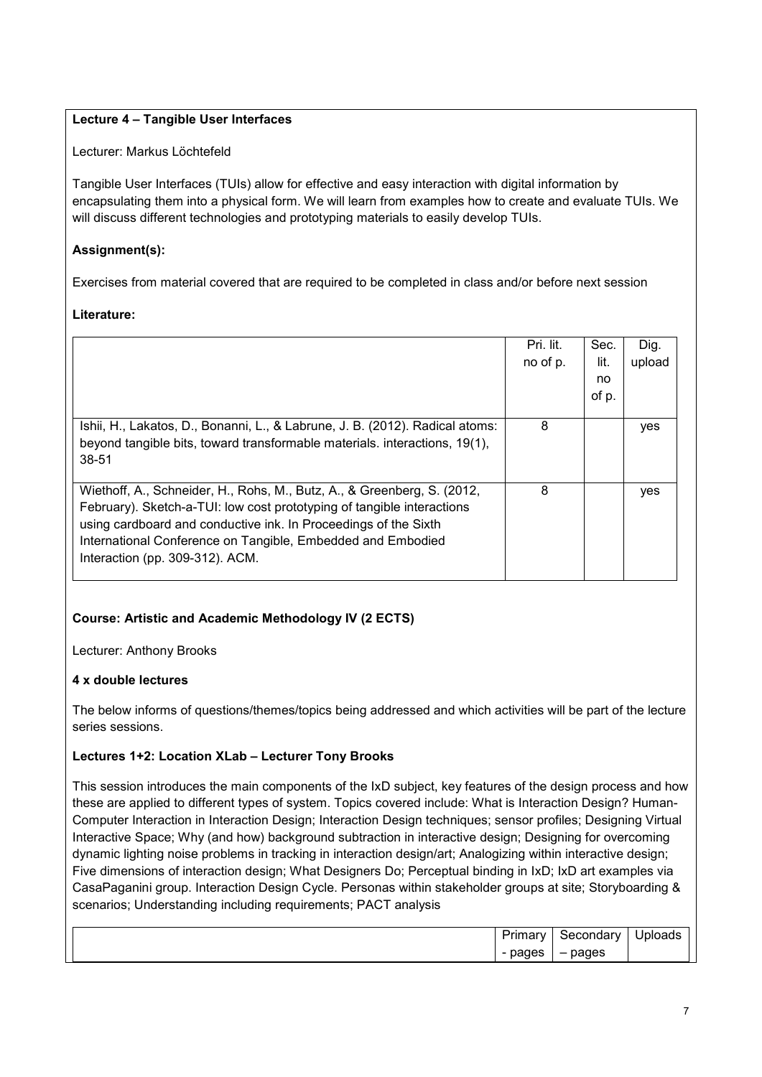# **Lecture 4 – Tangible User Interfaces**

Lecturer: Markus Löchtefeld

Tangible User Interfaces (TUIs) allow for effective and easy interaction with digital information by encapsulating them into a physical form. We will learn from examples how to create and evaluate TUIs. We will discuss different technologies and prototyping materials to easily develop TUIs.

# **Assignment(s):**

Exercises from material covered that are required to be completed in class and/or before next session

## **Literature:**

|                                                                                                                                                                                                                                                                                                                        | Pri. lit.<br>no of p. | Sec.<br>lit. | Dig.<br>upload |
|------------------------------------------------------------------------------------------------------------------------------------------------------------------------------------------------------------------------------------------------------------------------------------------------------------------------|-----------------------|--------------|----------------|
|                                                                                                                                                                                                                                                                                                                        |                       | no<br>of p.  |                |
| Ishii, H., Lakatos, D., Bonanni, L., & Labrune, J. B. (2012). Radical atoms:<br>beyond tangible bits, toward transformable materials. interactions, 19(1),<br>38-51                                                                                                                                                    | 8                     |              | yes            |
| Wiethoff, A., Schneider, H., Rohs, M., Butz, A., & Greenberg, S. (2012,<br>February). Sketch-a-TUI: low cost prototyping of tangible interactions<br>using cardboard and conductive ink. In Proceedings of the Sixth<br>International Conference on Tangible, Embedded and Embodied<br>Interaction (pp. 309-312). ACM. | 8                     |              | yes            |

# **Course: Artistic and Academic Methodology IV (2 ECTS)**

Lecturer: Anthony Brooks

## **4 x double lectures**

The below informs of questions/themes/topics being addressed and which activities will be part of the lecture series sessions.

## **Lectures 1+2: Location XLab – Lecturer Tony Brooks**

This session introduces the main components of the IxD subject, key features of the design process and how these are applied to different types of system. Topics covered include: What is Interaction Design? Human-Computer Interaction in Interaction Design; Interaction Design techniques; sensor profiles; Designing Virtual Interactive Space; Why (and how) background subtraction in interactive design; Designing for overcoming dynamic lighting noise problems in tracking in interaction design/art; Analogizing within interactive design; Five dimensions of interaction design; What Designers Do; Perceptual binding in IxD; IxD art examples via CasaPaganini group. Interaction Design Cycle. Personas within stakeholder groups at site; Storyboarding & scenarios; Understanding including requirements; PACT analysis

| $\overline{\phantom{a}}$<br>P<br>лшал | nondom<br>secondarv | .<br>' ''DIOads' |
|---------------------------------------|---------------------|------------------|
| pages<br>-                            | pages<br>           |                  |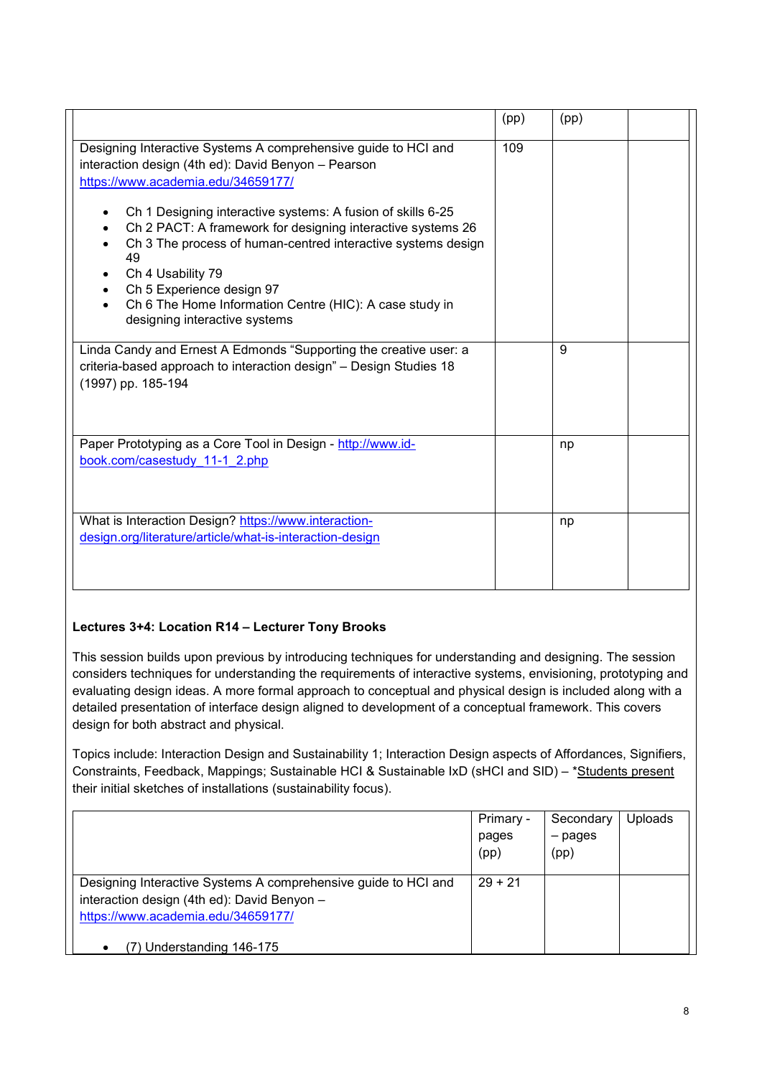|                                                                                                                                                                                                                                                                                                                                                                 | (pp) | (pp) |  |
|-----------------------------------------------------------------------------------------------------------------------------------------------------------------------------------------------------------------------------------------------------------------------------------------------------------------------------------------------------------------|------|------|--|
| Designing Interactive Systems A comprehensive guide to HCI and<br>interaction design (4th ed): David Benyon - Pearson<br>https://www.academia.edu/34659177/<br>Ch 1 Designing interactive systems: A fusion of skills 6-25<br>Ch 2 PACT: A framework for designing interactive systems 26<br>Ch 3 The process of human-centred interactive systems design<br>49 | 109  |      |  |
| Ch 4 Usability 79<br>Ch 5 Experience design 97<br>Ch 6 The Home Information Centre (HIC): A case study in<br>designing interactive systems                                                                                                                                                                                                                      |      |      |  |
| Linda Candy and Ernest A Edmonds "Supporting the creative user: a<br>criteria-based approach to interaction design" - Design Studies 18<br>(1997) pp. 185-194                                                                                                                                                                                                   |      | 9    |  |
| Paper Prototyping as a Core Tool in Design - http://www.id-<br>book.com/casestudy 11-1 2.php                                                                                                                                                                                                                                                                    |      | np   |  |
| What is Interaction Design? https://www.interaction-<br>design.org/literature/article/what-is-interaction-design                                                                                                                                                                                                                                                |      | np   |  |

# **Lectures 3+4: Location R14 – Lecturer Tony Brooks**

This session builds upon previous by introducing techniques for understanding and designing. The session considers techniques for understanding the requirements of interactive systems, envisioning, prototyping and evaluating design ideas. A more formal approach to conceptual and physical design is included along with a detailed presentation of interface design aligned to development of a conceptual framework. This covers design for both abstract and physical.

Topics include: Interaction Design and Sustainability 1; Interaction Design aspects of Affordances, Signifiers, Constraints, Feedback, Mappings; Sustainable HCI & Sustainable IxD (sHCI and SID) – \*Students present their initial sketches of installations (sustainability focus).

|                                                                | Primary - | Secondary | <b>Uploads</b> |
|----------------------------------------------------------------|-----------|-----------|----------------|
|                                                                | pages     | - pages   |                |
|                                                                | (pp)      | (pp)      |                |
|                                                                |           |           |                |
| Designing Interactive Systems A comprehensive guide to HCI and | $29 + 21$ |           |                |
| interaction design (4th ed): David Benyon -                    |           |           |                |
| https://www.academia.edu/34659177/                             |           |           |                |
|                                                                |           |           |                |
| ) Understanding 146-175<br>$\bullet$                           |           |           |                |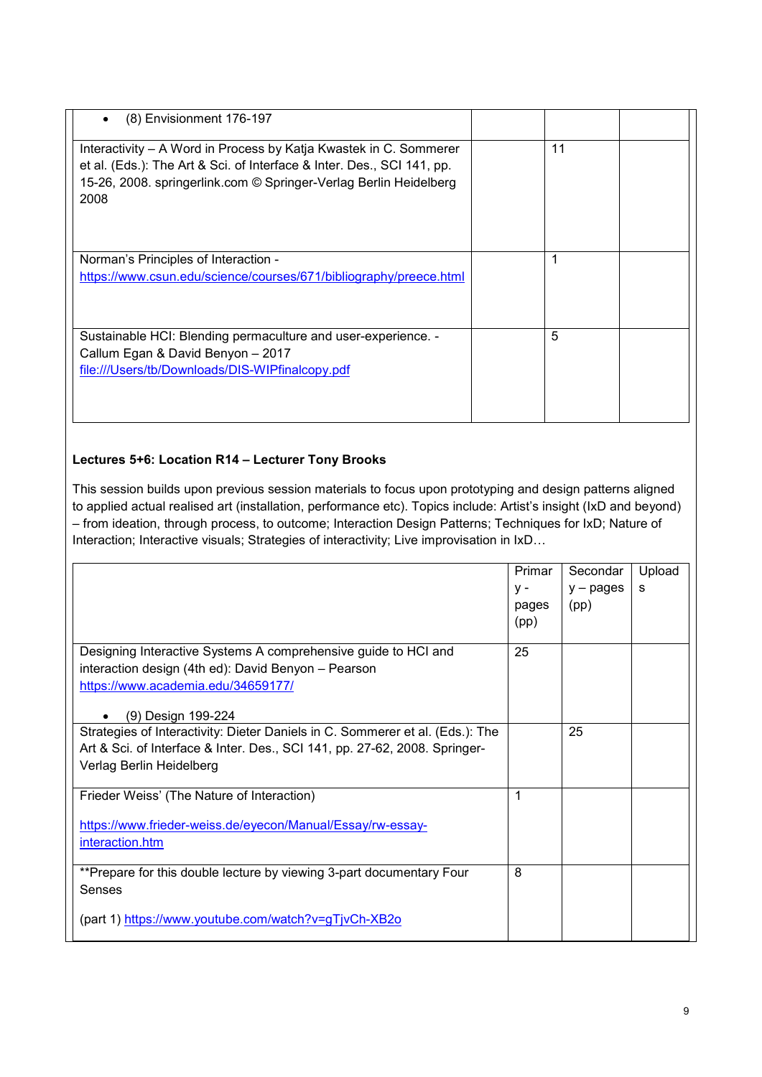| (8) Envisionment 176-197<br>$\bullet$                                                                                                                                                                                    |    |  |
|--------------------------------------------------------------------------------------------------------------------------------------------------------------------------------------------------------------------------|----|--|
| Interactivity – A Word in Process by Katja Kwastek in C. Sommerer<br>et al. (Eds.): The Art & Sci. of Interface & Inter. Des., SCI 141, pp.<br>15-26, 2008. springerlink.com © Springer-Verlag Berlin Heidelberg<br>2008 | 11 |  |
| Norman's Principles of Interaction -                                                                                                                                                                                     |    |  |
| https://www.csun.edu/science/courses/671/bibliography/preece.html                                                                                                                                                        |    |  |
| Sustainable HCI: Blending permaculture and user-experience. -                                                                                                                                                            | 5  |  |
| Callum Egan & David Benyon - 2017                                                                                                                                                                                        |    |  |
| file:///Users/tb/Downloads/DIS-WIPfinalcopy.pdf                                                                                                                                                                          |    |  |

## **Lectures 5+6: Location R14 – Lecturer Tony Brooks**

This session builds upon previous session materials to focus upon prototyping and design patterns aligned to applied actual realised art (installation, performance etc). Topics include: Artist's insight (IxD and beyond) – from ideation, through process, to outcome; Interaction Design Patterns; Techniques for IxD; Nature of Interaction; Interactive visuals; Strategies of interactivity; Live improvisation in IxD...

|                                                                               | Primar | Secondar    | Upload |
|-------------------------------------------------------------------------------|--------|-------------|--------|
|                                                                               | γ-     | $y - pages$ | s      |
|                                                                               | pages  | (pp)        |        |
|                                                                               | (pp)   |             |        |
| Designing Interactive Systems A comprehensive guide to HCI and                | 25     |             |        |
| interaction design (4th ed): David Benyon - Pearson                           |        |             |        |
| https://www.academia.edu/34659177/                                            |        |             |        |
|                                                                               |        |             |        |
| (9) Design 199-224<br>$\bullet$                                               |        |             |        |
| Strategies of Interactivity: Dieter Daniels in C. Sommerer et al. (Eds.): The |        | 25          |        |
| Art & Sci. of Interface & Inter. Des., SCI 141, pp. 27-62, 2008. Springer-    |        |             |        |
| Verlag Berlin Heidelberg                                                      |        |             |        |
|                                                                               |        |             |        |
| Frieder Weiss' (The Nature of Interaction)                                    | 1      |             |        |
| https://www.frieder-weiss.de/eyecon/Manual/Essay/rw-essay-                    |        |             |        |
| interaction.htm                                                               |        |             |        |
|                                                                               |        |             |        |
| **Prepare for this double lecture by viewing 3-part documentary Four          | 8      |             |        |
| Senses                                                                        |        |             |        |
|                                                                               |        |             |        |
| (part 1) https://www.youtube.com/watch?v=gTjvCh-XB2o                          |        |             |        |
|                                                                               |        |             |        |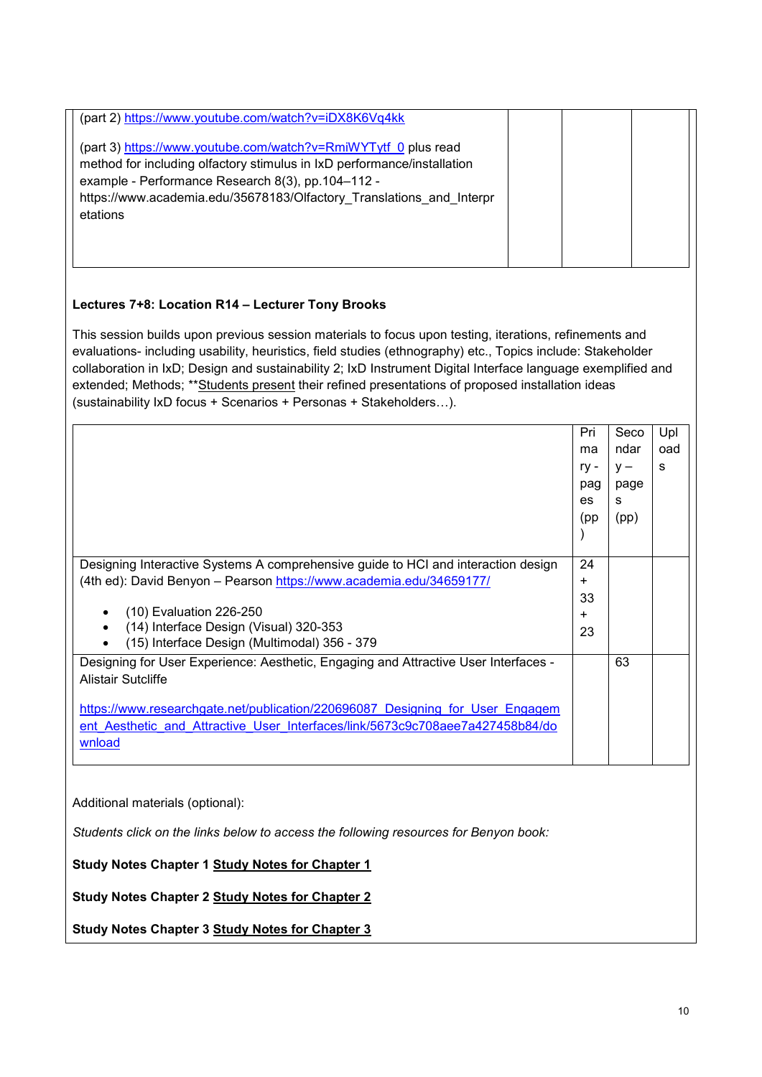| (part 2) https://www.youtube.com/watch?v=iDX8K6Vq4kk<br>(part 3) https://www.youtube.com/watch?v=RmiWYTytf 0 plus read<br>method for including olfactory stimulus in IxD performance/installation<br>example - Performance Research 8(3), pp.104-112 -<br>https://www.academia.edu/35678183/Olfactory_Translations_and_Interpr<br>etations |  |  |
|--------------------------------------------------------------------------------------------------------------------------------------------------------------------------------------------------------------------------------------------------------------------------------------------------------------------------------------------|--|--|
| Lectures 7+8: Location R14 - Lecturer Tony Brooks                                                                                                                                                                                                                                                                                          |  |  |

This session builds upon previous session materials to focus upon testing, iterations, refinements and evaluations- including usability, heuristics, field studies (ethnography) etc., Topics include: Stakeholder collaboration in IxD; Design and sustainability 2; IxD Instrument Digital Interface language exemplified and extended; Methods; \*\*Students present their refined presentations of proposed installation ideas (sustainability IxD focus + Scenarios + Personas + Stakeholders…).

|                                                                                                                                                                          | Pri<br>ma<br>$ry -$<br>pag<br>es | Seco<br>ndar<br>$V -$<br>page<br>s | Upl<br>oad<br>s |
|--------------------------------------------------------------------------------------------------------------------------------------------------------------------------|----------------------------------|------------------------------------|-----------------|
|                                                                                                                                                                          | (pp                              | (pp)                               |                 |
| Designing Interactive Systems A comprehensive guide to HCI and interaction design                                                                                        | 24                               |                                    |                 |
| (4th ed): David Benyon - Pearson https://www.academia.edu/34659177/                                                                                                      | ÷                                |                                    |                 |
|                                                                                                                                                                          | 33                               |                                    |                 |
| (10) Evaluation 226-250                                                                                                                                                  | ÷                                |                                    |                 |
| (14) Interface Design (Visual) 320-353<br>$\bullet$<br>(15) Interface Design (Multimodal) 356 - 379                                                                      | 23                               |                                    |                 |
| Designing for User Experience: Aesthetic, Engaging and Attractive User Interfaces -<br><b>Alistair Sutcliffe</b>                                                         |                                  | 63                                 |                 |
| https://www.researchgate.net/publication/220696087 Designing for User Engagem<br>ent Aesthetic and Attractive User Interfaces/link/5673c9c708aee7a427458b84/do<br>wnload |                                  |                                    |                 |

Additional materials (optional):

*Students click on the links below to access the following resources for Benyon book:*

**Study Notes Chapter 1 [Study Notes for Chapter 1](https://media.pearsoncmg.com/intl/ema/ema_uk_he_benyon_desintsys_4/resources/StudyNotesCh1.docx)**

**Study Notes Chapter 2 [Study Notes for Chapter 2](https://media.pearsoncmg.com/intl/ema/ema_uk_he_benyon_desintsys_4/resources/StudyNotesCh2.docx)**

**Study Notes Chapter 3 [Study Notes for Chapter 3](https://media.pearsoncmg.com/intl/ema/ema_uk_he_benyon_desintsys_4/resources/StudyNotesCh3.docx)**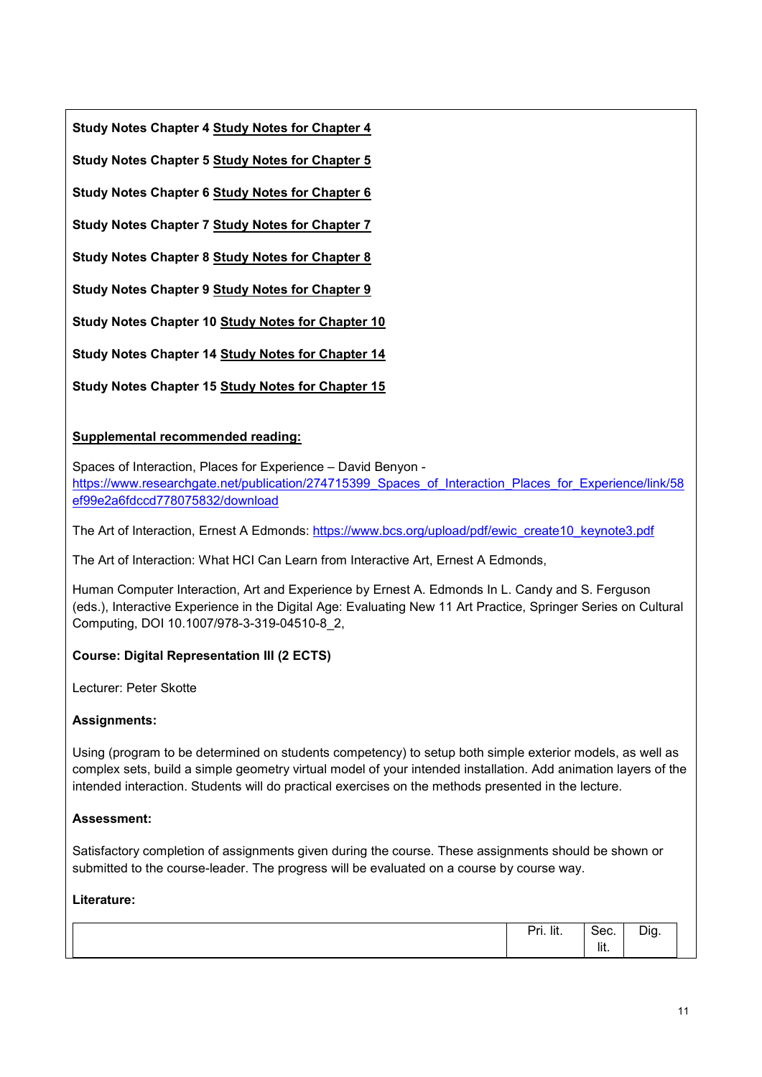**Study Notes Chapter 4 [Study Notes for Chapter 4](https://media.pearsoncmg.com/intl/ema/ema_uk_he_benyon_desintsys_4/resources/StudyNotesCh4.docx)**

**Study Notes Chapter 5 [Study Notes for Chapter 5](https://media.pearsoncmg.com/intl/ema/ema_uk_he_benyon_desintsys_4/resources/StudyNotesCh5.docx)**

**Study Notes Chapter 6 [Study Notes for Chapter 6](https://media.pearsoncmg.com/intl/ema/ema_uk_he_benyon_desintsys_4/resources/StudyNotesCh6.docx)**

**Study Notes Chapter 7 [Study Notes for Chapter 7](https://media.pearsoncmg.com/intl/ema/ema_uk_he_benyon_desintsys_4/resources/StudyNotesCh7.docx)**

**Study Notes Chapter 8 [Study Notes for Chapter 8](https://media.pearsoncmg.com/intl/ema/ema_uk_he_benyon_desintsys_4/resources/StudyNotesCh8.docx)**

**Study Notes Chapter 9 [Study Notes for Chapter 9](https://media.pearsoncmg.com/intl/ema/ema_uk_he_benyon_desintsys_4/resources/StudyNotesCh9.docx)**

**Study Notes Chapter 10 [Study Notes for Chapter 10](https://media.pearsoncmg.com/intl/ema/ema_uk_he_benyon_desintsys_4/resources/StudyNotesCh10.docx)**

**Study Notes Chapter 14 [Study Notes for Chapter 14](https://media.pearsoncmg.com/intl/ema/ema_uk_he_benyon_desintsys_4/resources/StudyNotesCh14.docx)**

**Study Notes Chapter 15 [Study Notes for Chapter 15](https://media.pearsoncmg.com/intl/ema/ema_uk_he_benyon_desintsys_4/resources/StudyNotesCh15.docx)**

# **Supplemental recommended reading:**

Spaces of Interaction, Places for Experience – David Benyon [https://www.researchgate.net/publication/274715399\\_Spaces\\_of\\_Interaction\\_Places\\_for\\_Experience/link/58](https://www.researchgate.net/publication/274715399_Spaces_of_Interaction_Places_for_Experience/link/58ef99e2a6fdccd778075832/download) [ef99e2a6fdccd778075832/download](https://www.researchgate.net/publication/274715399_Spaces_of_Interaction_Places_for_Experience/link/58ef99e2a6fdccd778075832/download)

The Art of Interaction, Ernest A Edmonds: [https://www.bcs.org/upload/pdf/ewic\\_create10\\_keynote3.pdf](https://www.bcs.org/upload/pdf/ewic_create10_keynote3.pdf)

The Art of Interaction: What HCI Can Learn from Interactive Art, Ernest A Edmonds,

Human Computer Interaction, Art and Experience by Ernest A. Edmonds In L. Candy and S. Ferguson (eds.), Interactive Experience in the Digital Age: Evaluating New 11 Art Practice, Springer Series on Cultural Computing, DOI 10.1007/978-3-319-04510-8\_2,

# **Course: Digital Representation III (2 ECTS)**

Lecturer: Peter Skotte

## **Assignments:**

Using (program to be determined on students competency) to setup both simple exterior models, as well as complex sets, build a simple geometry virtual model of your intended installation. Add animation layers of the intended interaction. Students will do practical exercises on the methods presented in the lecture.

## **Assessment:**

Satisfactory completion of assignments given during the course. These assignments should be shown or submitted to the course-leader. The progress will be evaluated on a course by course way.

| Pri. lit. | م د<br>oeu.      | $\sim$<br>חו<br>້<br>.<br>ັ |
|-----------|------------------|-----------------------------|
|           | $\cdots$<br>lit. |                             |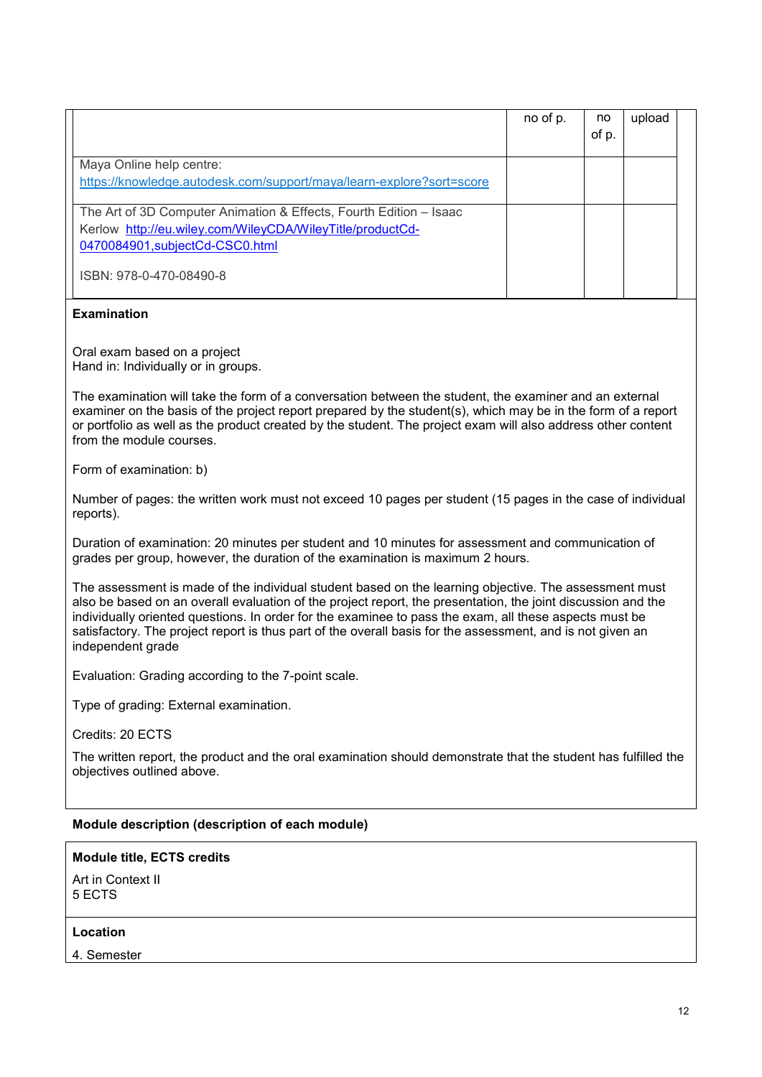|                                                                                                                                                                    | no of p. | no<br>of p. | upload |  |
|--------------------------------------------------------------------------------------------------------------------------------------------------------------------|----------|-------------|--------|--|
| Maya Online help centre:<br>https://knowledge.autodesk.com/support/maya/learn-explore?sort=score                                                                   |          |             |        |  |
| The Art of 3D Computer Animation & Effects, Fourth Edition - Isaac<br>Kerlow http://eu.wiley.com/WileyCDA/WileyTitle/productCd-<br>0470084901, subjectCd-CSC0.html |          |             |        |  |
| ISBN: 978-0-470-08490-8                                                                                                                                            |          |             |        |  |

### **Examination**

Oral exam based on a project Hand in: Individually or in groups.

The examination will take the form of a conversation between the student, the examiner and an external examiner on the basis of the project report prepared by the student(s), which may be in the form of a report or portfolio as well as the product created by the student. The project exam will also address other content from the module courses.

Form of examination: b)

Number of pages: the written work must not exceed 10 pages per student (15 pages in the case of individual reports).

Duration of examination: 20 minutes per student and 10 minutes for assessment and communication of grades per group, however, the duration of the examination is maximum 2 hours.

The assessment is made of the individual student based on the learning objective. The assessment must also be based on an overall evaluation of the project report, the presentation, the joint discussion and the individually oriented questions. In order for the examinee to pass the exam, all these aspects must be satisfactory. The project report is thus part of the overall basis for the assessment, and is not given an independent grade

Evaluation: Grading according to the 7-point scale.

Type of grading: External examination.

Credits: 20 ECTS

The written report, the product and the oral examination should demonstrate that the student has fulfilled the objectives outlined above.

#### **Module description (description of each module)**

# **Module title, ECTS credits**

Art in Context II 5 ECTS

#### **Location**

4. Semester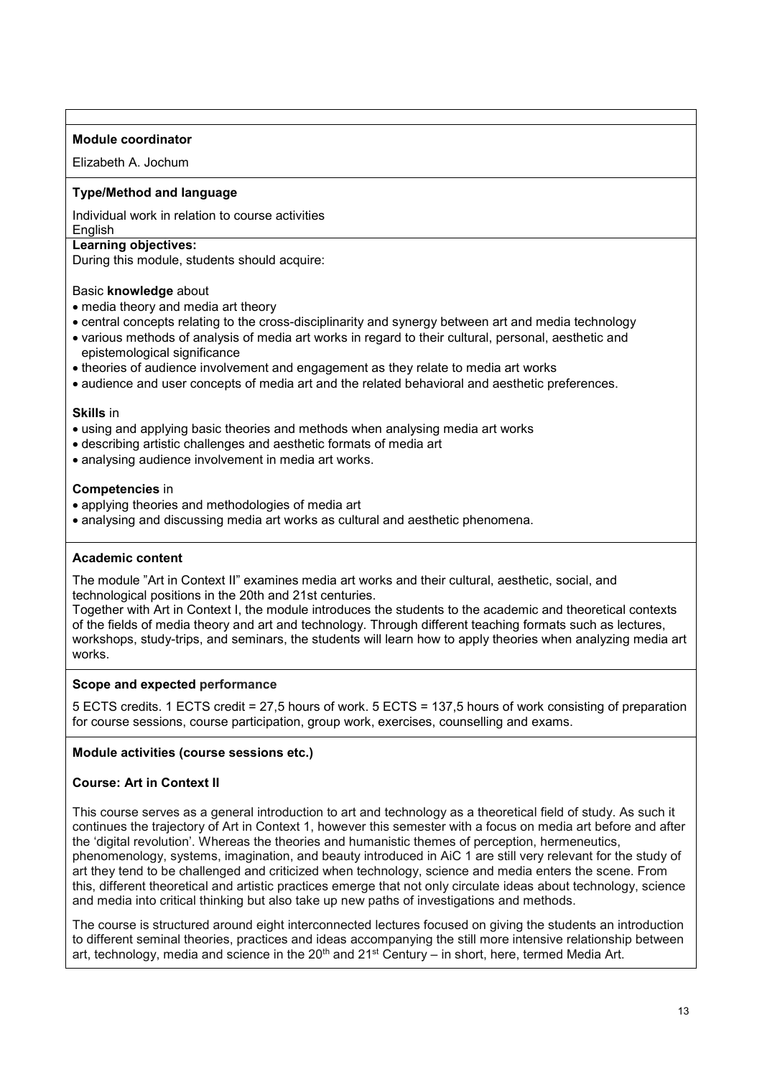#### **Module coordinator**

Elizabeth A. Jochum

### **Type/Method and language**

Individual work in relation to course activities **English** 

## **Learning objectives:**

During this module, students should acquire:

#### Basic **knowledge** about

- media theory and media art theory
- central concepts relating to the cross-disciplinarity and synergy between art and media technology
- various methods of analysis of media art works in regard to their cultural, personal, aesthetic and epistemological significance
- theories of audience involvement and engagement as they relate to media art works
- audience and user concepts of media art and the related behavioral and aesthetic preferences.

#### **Skills** in

- using and applying basic theories and methods when analysing media art works
- describing artistic challenges and aesthetic formats of media art
- analysing audience involvement in media art works.

#### **Competencies** in

- applying theories and methodologies of media art
- analysing and discussing media art works as cultural and aesthetic phenomena.

#### **Academic content**

The module "Art in Context II" examines media art works and their cultural, aesthetic, social, and technological positions in the 20th and 21st centuries.

Together with Art in Context I, the module introduces the students to the academic and theoretical contexts of the fields of media theory and art and technology. Through different teaching formats such as lectures, workshops, study-trips, and seminars, the students will learn how to apply theories when analyzing media art works.

#### **Scope and expected performance**

5 ECTS credits. 1 ECTS credit = 27,5 hours of work. 5 ECTS = 137,5 hours of work consisting of preparation for course sessions, course participation, group work, exercises, counselling and exams.

#### **Module activities (course sessions etc.)**

#### **Course: Art in Context II**

This course serves as a general introduction to art and technology as a theoretical field of study. As such it continues the trajectory of Art in Context 1, however this semester with a focus on media art before and after the 'digital revolution'. Whereas the theories and humanistic themes of perception, hermeneutics, phenomenology, systems, imagination, and beauty introduced in AiC 1 are still very relevant for the study of art they tend to be challenged and criticized when technology, science and media enters the scene. From this, different theoretical and artistic practices emerge that not only circulate ideas about technology, science and media into critical thinking but also take up new paths of investigations and methods.

The course is structured around eight interconnected lectures focused on giving the students an introduction to different seminal theories, practices and ideas accompanying the still more intensive relationship between art, technology, media and science in the  $20<sup>th</sup>$  and  $21<sup>st</sup>$  Century – in short, here, termed Media Art.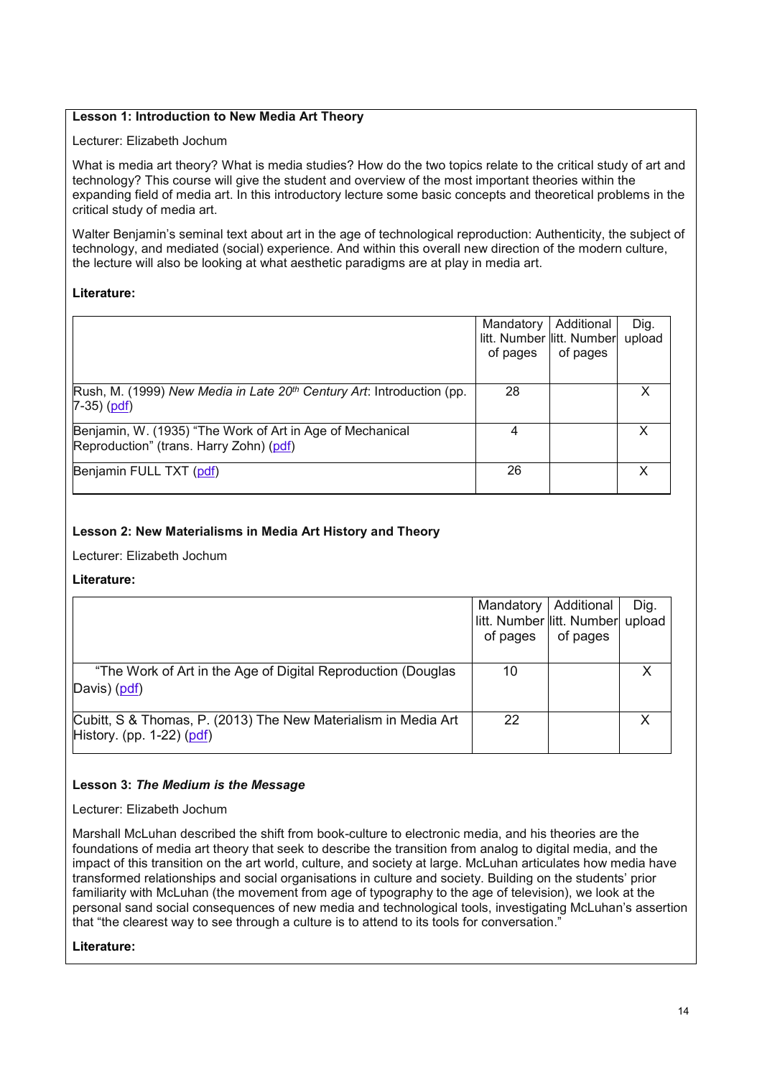### **Lesson 1: Introduction to New Media Art Theory**

#### Lecturer: Elizabeth Jochum

What is media art theory? What is media studies? How do the two topics relate to the critical study of art and technology? This course will give the student and overview of the most important theories within the expanding field of media art. In this introductory lecture some basic concepts and theoretical problems in the critical study of media art.

Walter Benjamin's seminal text about art in the age of technological reproduction: Authenticity, the subject of technology, and mediated (social) experience. And within this overall new direction of the modern culture, the lecture will also be looking at what aesthetic paradigms are at play in media art.

#### **Literature:**

|                                                                                   | Mandatory                 | Additional | Dig.   |
|-----------------------------------------------------------------------------------|---------------------------|------------|--------|
|                                                                                   | litt. Number litt. Number |            | upload |
|                                                                                   | of pages                  | of pages   |        |
|                                                                                   |                           |            |        |
| Rush, M. (1999) New Media in Late 20 <sup>th</sup> Century Art: Introduction (pp. | 28                        |            |        |
| $7-35)$ ( $pdf$ )                                                                 |                           |            |        |
| Benjamin, W. (1935) "The Work of Art in Age of Mechanical                         |                           |            | x      |
| Reproduction" (trans. Harry Zohn) (pdf)                                           |                           |            |        |
| Benjamin FULL TXT (pdf)                                                           | 26                        |            |        |
|                                                                                   |                           |            |        |

#### **Lesson 2: New Materialisms in Media Art History and Theory**

Lecturer: Elizabeth Jochum

**Literature:**

|                                                                                             | litt. Number litt. Number upload<br>of pages | Mandatory   Additional  <br>of pages | Dig. |
|---------------------------------------------------------------------------------------------|----------------------------------------------|--------------------------------------|------|
| "The Work of Art in the Age of Digital Reproduction (Douglas<br>Davis) (pdf)                | 10                                           |                                      |      |
| Cubitt, S & Thomas, P. (2013) The New Materialism in Media Art<br>History. (pp. 1-22) (pdf) | 22                                           |                                      |      |

#### **Lesson 3:** *The Medium is the Message*

Lecturer: Elizabeth Jochum

Marshall McLuhan described the shift from book-culture to electronic media, and his theories are the foundations of media art theory that seek to describe the transition from analog to digital media, and the impact of this transition on the art world, culture, and society at large. McLuhan articulates how media have transformed relationships and social organisations in culture and society. Building on the students' prior familiarity with McLuhan (the movement from age of typography to the age of television), we look at the personal sand social consequences of new media and technological tools, investigating McLuhan's assertion that "the clearest way to see through a culture is to attend to its tools for conversation."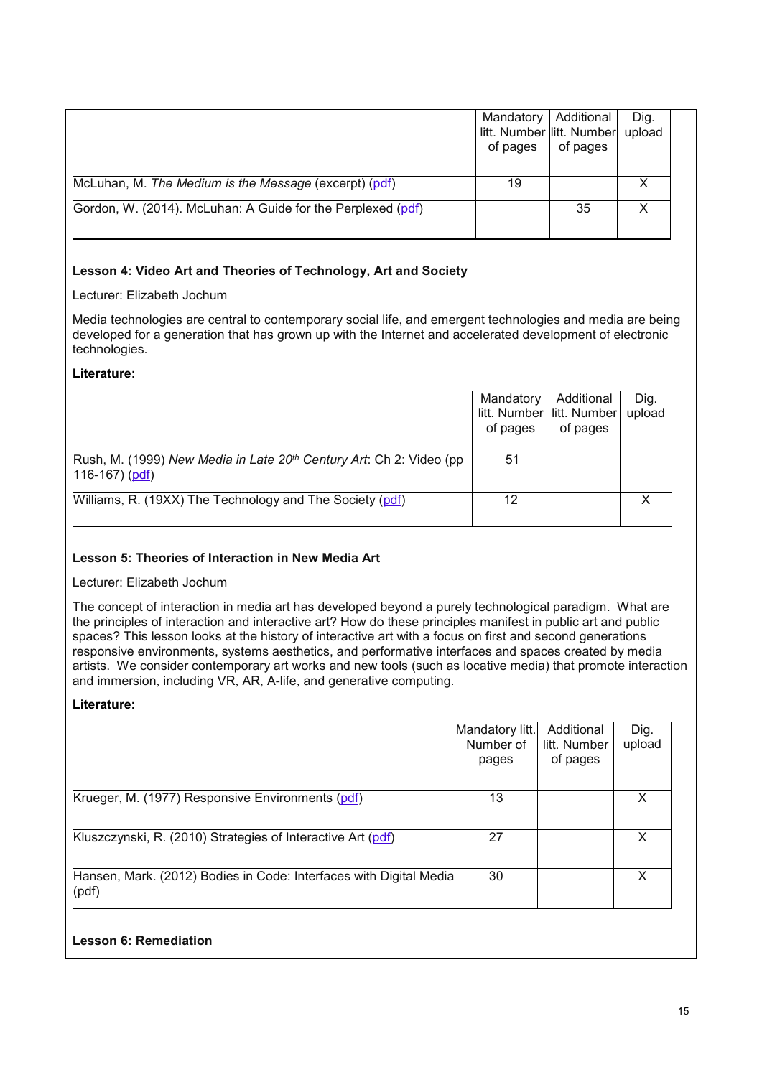|                                                             | Mandatory   Additional<br>litt. Number litt. Number<br>of pages | of pages | Dig.<br>upload |
|-------------------------------------------------------------|-----------------------------------------------------------------|----------|----------------|
| McLuhan, M. The Medium is the Message (excerpt) (pdf)       | 19                                                              |          |                |
| Gordon, W. (2014). McLuhan: A Guide for the Perplexed (pdf) |                                                                 | 35       |                |

### **Lesson 4: Video Art and Theories of Technology, Art and Society**

Lecturer: Elizabeth Jochum

Media technologies are central to contemporary social life, and emergent technologies and media are being developed for a generation that has grown up with the Internet and accelerated development of electronic technologies.

### **Literature:**

|                                                                                                     | Mandatory<br>of pages | Additional<br>litt. Number litt. Number<br>of pages | Dig.<br>upload |
|-----------------------------------------------------------------------------------------------------|-----------------------|-----------------------------------------------------|----------------|
| Rush, M. (1999) New Media in Late 20 <sup>th</sup> Century Art: Ch 2: Video (pp<br>$116-167)$ (pdf) | -51                   |                                                     |                |
| Williams, R. (19XX) The Technology and The Society (pdf)                                            | 12                    |                                                     |                |

## **Lesson 5: Theories of Interaction in New Media Art**

### Lecturer: Elizabeth Jochum

The concept of interaction in media art has developed beyond a purely technological paradigm. What are the principles of interaction and interactive art? How do these principles manifest in public art and public spaces? This lesson looks at the history of interactive art with a focus on first and second generations responsive environments, systems aesthetics, and performative interfaces and spaces created by media artists. We consider contemporary art works and new tools (such as locative media) that promote interaction and immersion, including VR, AR, A-life, and generative computing.

#### **Literature:**

|                                                                             | Mandatory litt.<br>Number of<br>pages | Additional<br>litt. Number<br>of pages | Dig.<br>upload |
|-----------------------------------------------------------------------------|---------------------------------------|----------------------------------------|----------------|
| Krueger, M. (1977) Responsive Environments (pdf)                            | 13                                    |                                        | X              |
| Kluszczynski, R. (2010) Strategies of Interactive Art (pdf)                 | 27                                    |                                        | X              |
| Hansen, Mark. (2012) Bodies in Code: Interfaces with Digital Media<br>(pdf) | 30                                    |                                        | X              |

## **Lesson 6: Remediation**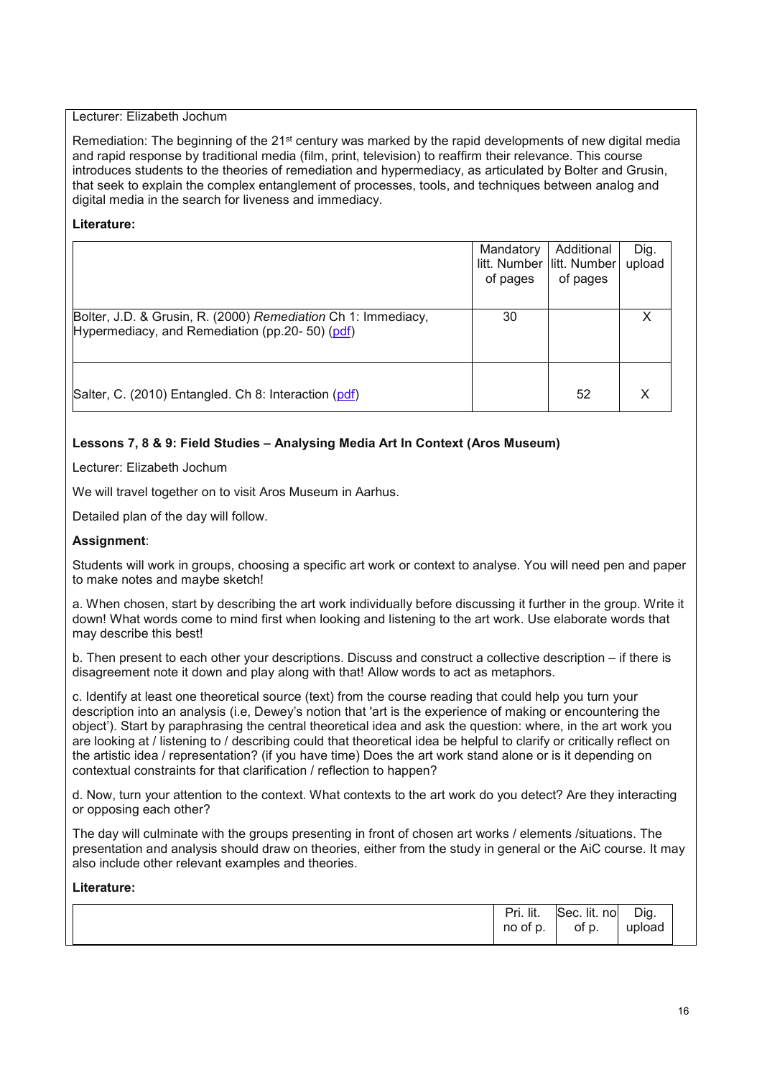#### Lecturer: Elizabeth Jochum

Remediation: The beginning of the 21<sup>st</sup> century was marked by the rapid developments of new digital media and rapid response by traditional media (film, print, television) to reaffirm their relevance. This course introduces students to the theories of remediation and hypermediacy, as articulated by Bolter and Grusin, that seek to explain the complex entanglement of processes, tools, and techniques between analog and digital media in the search for liveness and immediacy.

### **Literature:**

|                                                                                                                  | Mandatory<br>of pages | Additional<br>litt. Number litt. Number<br>of pages | Dig.<br>upload |
|------------------------------------------------------------------------------------------------------------------|-----------------------|-----------------------------------------------------|----------------|
| Bolter, J.D. & Grusin, R. (2000) Remediation Ch 1: Immediacy,<br>Hypermediacy, and Remediation (pp.20- 50) (pdf) | 30                    |                                                     |                |
| Salter, C. (2010) Entangled. Ch 8: Interaction (pdf)                                                             |                       | 52                                                  |                |

### **Lessons 7, 8 & 9: Field Studies – Analysing Media Art In Context (Aros Museum)**

Lecturer: Elizabeth Jochum

We will travel together on to visit Aros Museum in Aarhus.

Detailed plan of the day will follow.

#### **Assignment**:

Students will work in groups, choosing a specific art work or context to analyse. You will need pen and paper to make notes and maybe sketch!

a. When chosen, start by describing the art work individually before discussing it further in the group. Write it down! What words come to mind first when looking and listening to the art work. Use elaborate words that may describe this best!

b. Then present to each other your descriptions. Discuss and construct a collective description – if there is disagreement note it down and play along with that! Allow words to act as metaphors.

c. Identify at least one theoretical source (text) from the course reading that could help you turn your description into an analysis (i.e, Dewey's notion that 'art is the experience of making or encountering the object'). Start by paraphrasing the central theoretical idea and ask the question: where, in the art work you are looking at / listening to / describing could that theoretical idea be helpful to clarify or critically reflect on the artistic idea / representation? (if you have time) Does the art work stand alone or is it depending on contextual constraints for that clarification / reflection to happen?

d. Now, turn your attention to the context. What contexts to the art work do you detect? Are they interacting or opposing each other?

The day will culminate with the groups presenting in front of chosen art works / elements /situations. The presentation and analysis should draw on theories, either from the study in general or the AiC course. It may also include other relevant examples and theories.

|  | Pri. lit.<br>no<br>of p. | Sec. lit.<br>nol<br>r<br>оt<br>ັບ. | Dig.<br>upload |
|--|--------------------------|------------------------------------|----------------|
|--|--------------------------|------------------------------------|----------------|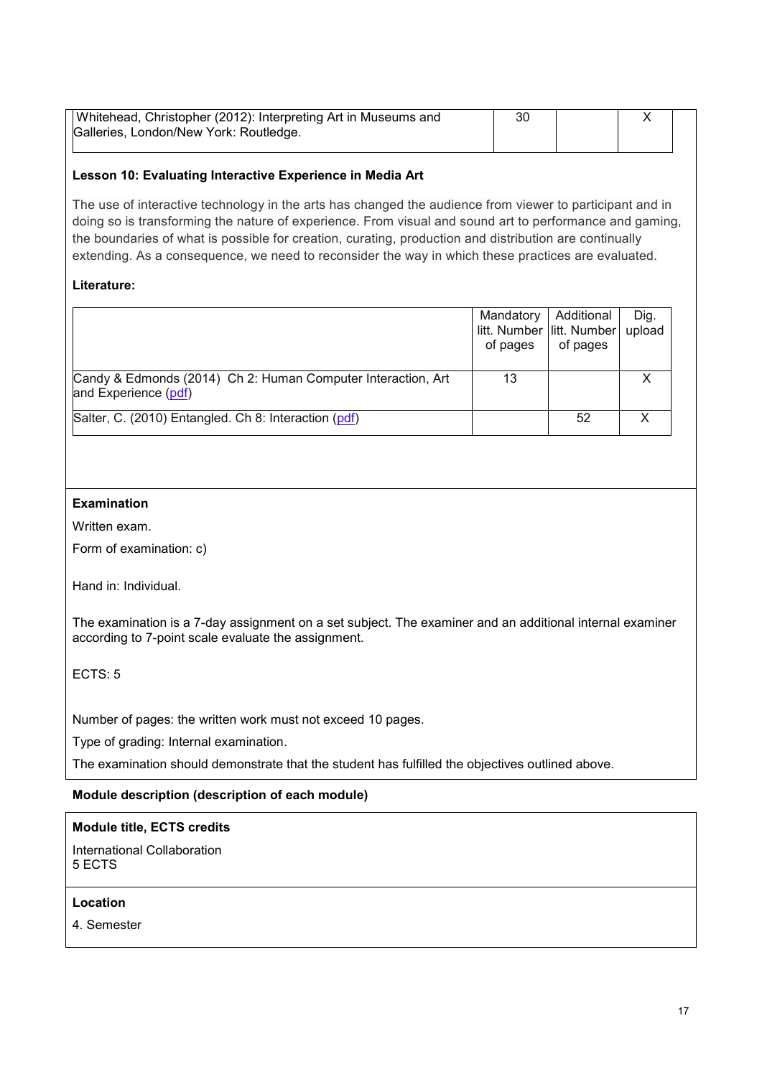| Whitehead, Christopher (2012): Interpreting Art in Museums and | 30 |  |  |
|----------------------------------------------------------------|----|--|--|
| Galleries, London/New York: Routledge.                         |    |  |  |
|                                                                |    |  |  |

### **Lesson 10: Evaluating Interactive Experience in Media Art**

The use of interactive technology in the arts has changed the audience from viewer to participant and in doing so is transforming the nature of experience. From visual and sound art to performance and gaming, the boundaries of what is possible for creation, curating, production and distribution are continually extending. As a consequence, we need to reconsider the way in which these practices are evaluated.

### **Literature:**

|                                                                                      | Mandatory<br>of pages | Additional<br>litt. Number litt. Number<br>of pages | Dig.<br>upload |
|--------------------------------------------------------------------------------------|-----------------------|-----------------------------------------------------|----------------|
| Candy & Edmonds (2014) Ch 2: Human Computer Interaction, Art<br>and Experience (pdf) | 13                    |                                                     |                |
| Salter, C. (2010) Entangled. Ch 8: Interaction (pdf)                                 |                       | 52                                                  |                |

### **Examination**

Written exam.

Form of examination: c)

Hand in: Individual.

The examination is a 7-day assignment on a set subject. The examiner and an additional internal examiner according to 7-point scale evaluate the assignment.

ECTS: 5

Number of pages: the written work must not exceed 10 pages.

Type of grading: Internal examination.

The examination should demonstrate that the student has fulfilled the objectives outlined above.

#### **Module description (description of each module)**

## **Module title, ECTS credits**

International Collaboration 5 ECTS

### **Location**

4. Semester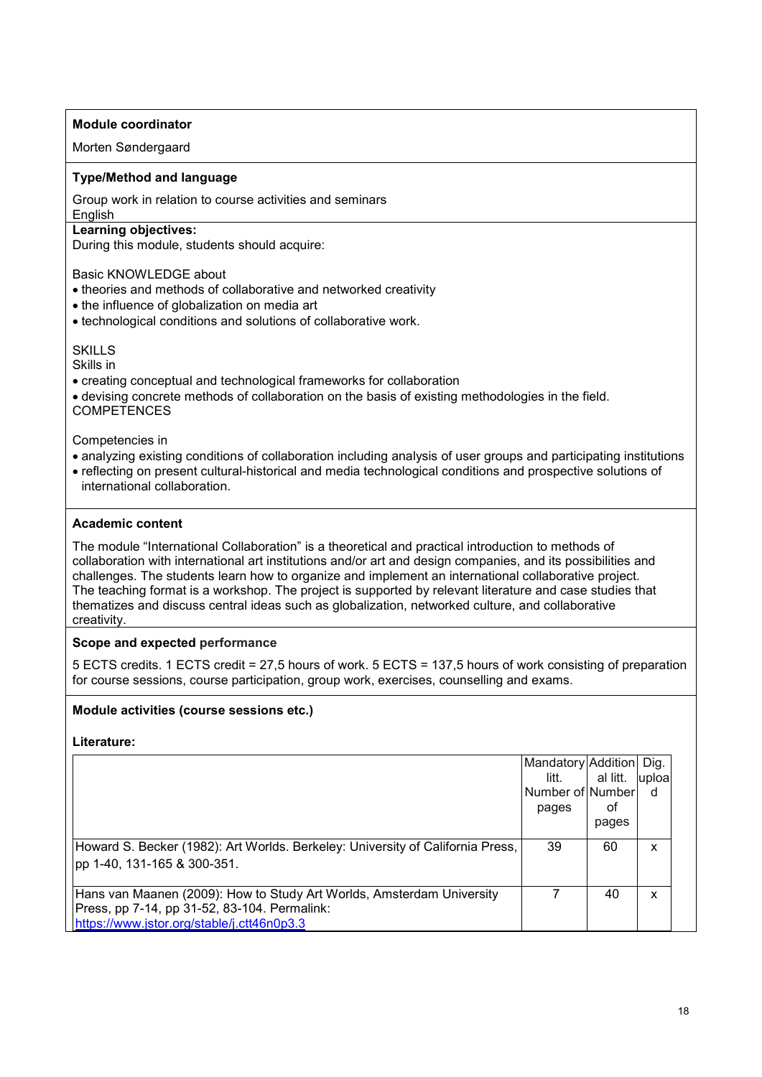### **Module coordinator**

Morten Søndergaard

### **Type/Method and language**

Group work in relation to course activities and seminars

English

#### **Learning objectives:**

During this module, students should acquire:

Basic KNOWLEDGE about

- theories and methods of collaborative and networked creativity
- the influence of globalization on media art
- technological conditions and solutions of collaborative work.

#### **SKILLS**

Skills in

- creating conceptual and technological frameworks for collaboration
- devising concrete methods of collaboration on the basis of existing methodologies in the field. **COMPETENCES**

Competencies in

- analyzing existing conditions of collaboration including analysis of user groups and participating institutions
- reflecting on present cultural-historical and media technological conditions and prospective solutions of international collaboration.

### **Academic content**

The module "International Collaboration" is a theoretical and practical introduction to methods of collaboration with international art institutions and/or art and design companies, and its possibilities and challenges. The students learn how to organize and implement an international collaborative project. The teaching format is a workshop. The project is supported by relevant literature and case studies that thematizes and discuss central ideas such as globalization, networked culture, and collaborative creativity.

**Scope and expected performance**

5 ECTS credits. 1 ECTS credit = 27,5 hours of work. 5 ECTS = 137,5 hours of work consisting of preparation for course sessions, course participation, group work, exercises, counselling and exams.

## **Module activities (course sessions etc.)**

|                                                                                | Mandatory Addition |          | Dig.   |
|--------------------------------------------------------------------------------|--------------------|----------|--------|
|                                                                                | litt.              | al litt. | luploa |
|                                                                                | Number of Number   |          | d      |
|                                                                                | pages              | оt       |        |
|                                                                                |                    | pages    |        |
| Howard S. Becker (1982): Art Worlds. Berkeley: University of California Press, | 39                 | 60       | x      |
| pp 1-40, 131-165 & 300-351.                                                    |                    |          |        |
|                                                                                |                    |          |        |
| Hans van Maanen (2009): How to Study Art Worlds, Amsterdam University          |                    | 40       | x      |
| Press, pp 7-14, pp 31-52, 83-104. Permalink:                                   |                    |          |        |
| https://www.jstor.org/stable/j.ctt46n0p3.3                                     |                    |          |        |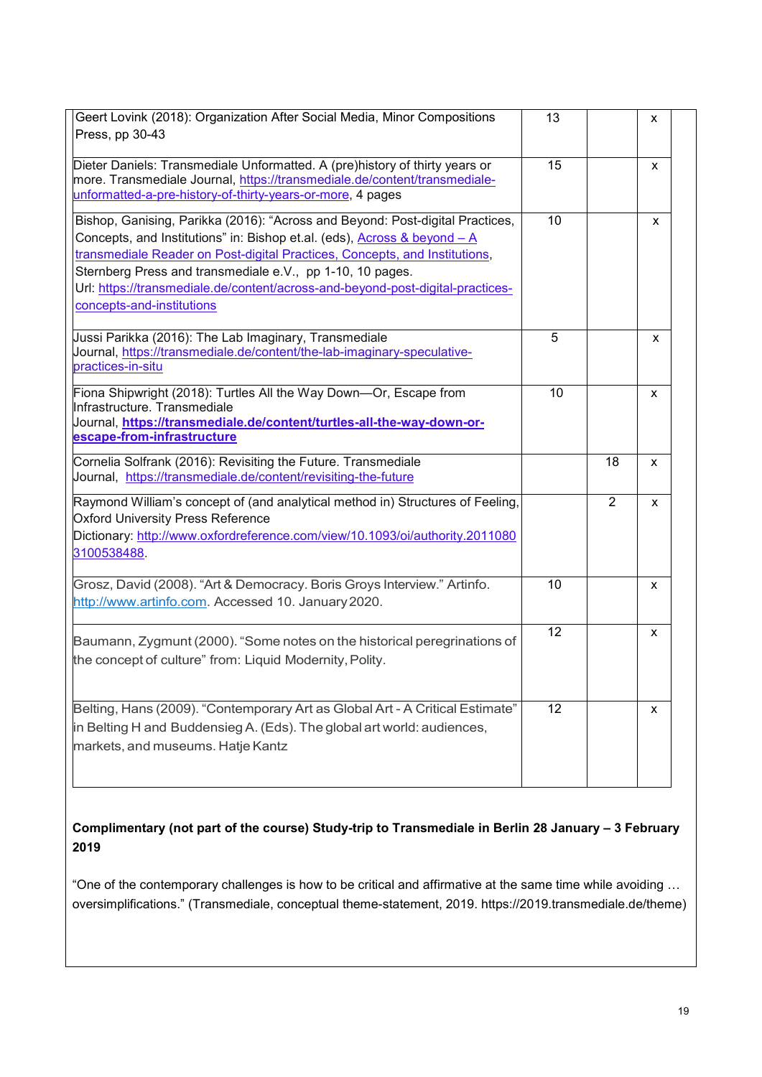| Geert Lovink (2018): Organization After Social Media, Minor Compositions<br>Press, pp 30-43                                                                                                                                                                                                                                                                                                                         | 13              |                | x |
|---------------------------------------------------------------------------------------------------------------------------------------------------------------------------------------------------------------------------------------------------------------------------------------------------------------------------------------------------------------------------------------------------------------------|-----------------|----------------|---|
| Dieter Daniels: Transmediale Unformatted. A (pre)history of thirty years or<br>more. Transmediale Journal, https://transmediale.de/content/transmediale-<br>unformatted-a-pre-history-of-thirty-years-or-more, 4 pages                                                                                                                                                                                              | 15              |                | x |
| Bishop, Ganising, Parikka (2016): "Across and Beyond: Post-digital Practices,<br>Concepts, and Institutions" in: Bishop et.al. (eds), Across & beyond - A<br>transmediale Reader on Post-digital Practices, Concepts, and Institutions,<br>Sternberg Press and transmediale e.V., pp 1-10, 10 pages.<br>Url: https://transmediale.de/content/across-and-beyond-post-digital-practices-<br>concepts-and-institutions | 10              |                | X |
| Jussi Parikka (2016): The Lab Imaginary, Transmediale<br>Journal, https://transmediale.de/content/the-lab-imaginary-speculative-<br>practices-in-situ                                                                                                                                                                                                                                                               | 5               |                | x |
| Fiona Shipwright (2018): Turtles All the Way Down-Or, Escape from<br>Infrastructure, Transmediale<br>Journal, https://transmediale.de/content/turtles-all-the-way-down-or-<br>escape-from-infrastructure                                                                                                                                                                                                            | 10              |                | X |
| Cornelia Solfrank (2016): Revisiting the Future. Transmediale<br>Journal, https://transmediale.de/content/revisiting-the-future                                                                                                                                                                                                                                                                                     |                 | 18             | x |
| Raymond William's concept of (and analytical method in) Structures of Feeling,<br><b>Oxford University Press Reference</b><br>Dictionary: http://www.oxfordreference.com/view/10.1093/oi/authority.2011080<br>3100538488.                                                                                                                                                                                           |                 | $\overline{2}$ | x |
| Grosz, David (2008). "Art & Democracy. Boris Groys Interview." Artinfo.<br>http://www.artinfo.com. Accessed 10. January 2020.                                                                                                                                                                                                                                                                                       | 10              |                | X |
| Baumann, Zygmunt (2000). "Some notes on the historical peregrinations of<br>the concept of culture" from: Liquid Modernity, Polity.                                                                                                                                                                                                                                                                                 | 12              |                | x |
| Belting, Hans (2009). "Contemporary Art as Global Art - A Critical Estimate"<br>in Belting H and Buddensieg A. (Eds). The global art world: audiences,<br>markets, and museums. Hatje Kantz                                                                                                                                                                                                                         | 12 <sub>2</sub> |                | X |

# **Complimentary (not part of the course) Study-trip to Transmediale in Berlin 28 January – 3 February 2019**

"One of the contemporary challenges is how to be critical and affirmative at the same time while avoiding … oversimplifications." (Transmediale, conceptual theme-statement, 2019. https://2019.transmediale.de/theme)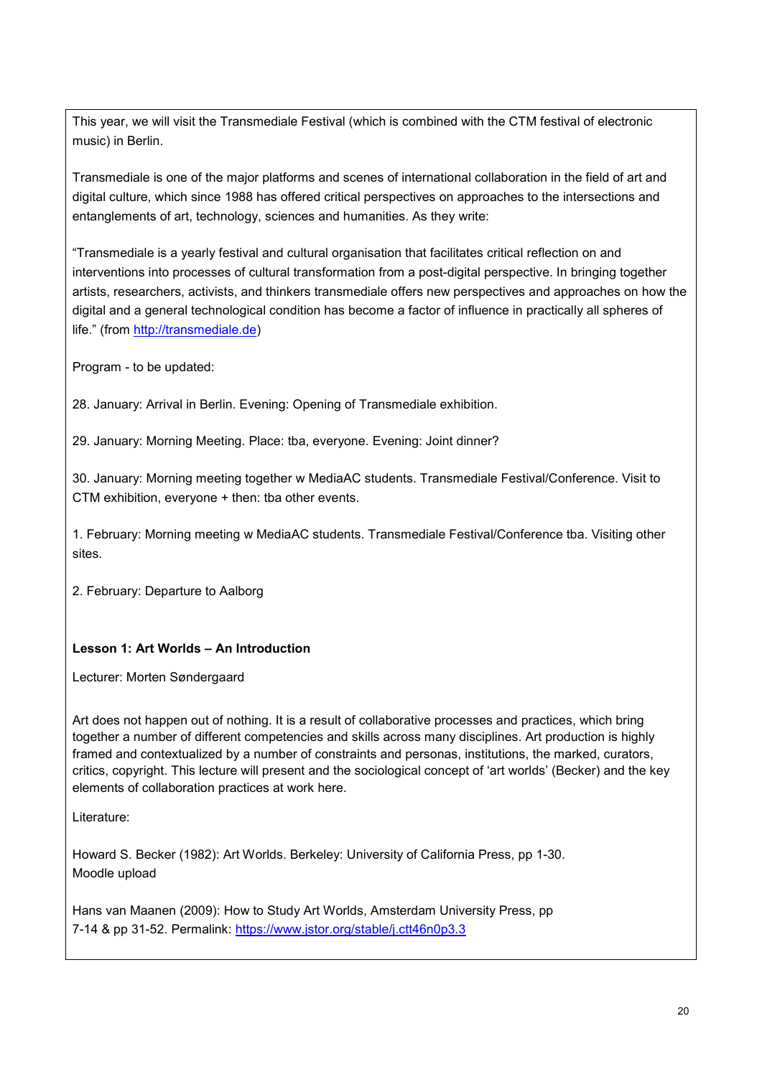This year, we will visit the Transmediale Festival (which is combined with the CTM festival of electronic music) in Berlin.

Transmediale is one of the major platforms and scenes of international collaboration in the field of art and digital culture, which since 1988 has offered critical perspectives on approaches to the intersections and entanglements of art, technology, sciences and humanities. As they write:

"Transmediale is a yearly festival and cultural organisation that facilitates critical reflection on and interventions into processes of cultural transformation from a post-digital perspective. In bringing together artists, researchers, activists, and thinkers transmediale offers new perspectives and approaches on how the digital and a general technological condition has become a factor of influence in practically all spheres of life." (from [http://transmediale.de\)](http://transmediale.de/)

Program - to be updated:

28. January: Arrival in Berlin. Evening: Opening of Transmediale exhibition.

29. January: Morning Meeting. Place: tba, everyone. Evening: Joint dinner?

30. January: Morning meeting together w MediaAC students. Transmediale Festival/Conference. Visit to CTM exhibition, everyone + then: tba other events.

1. February: Morning meeting w MediaAC students. Transmediale Festival/Conference tba. Visiting other sites.

2. February: Departure to Aalborg

## **Lesson 1: Art Worlds – An Introduction**

Lecturer: Morten Søndergaard

Art does not happen out of nothing. It is a result of collaborative processes and practices, which bring together a number of different competencies and skills across many disciplines. Art production is highly framed and contextualized by a number of constraints and personas, institutions, the marked, curators, critics, copyright. This lecture will present and the sociological concept of 'art worlds' (Becker) and the key elements of collaboration practices at work here.

Literature:

Howard S. Becker (1982): Art Worlds. Berkeley: University of California Press, pp 1-30. Moodle upload

Hans van Maanen (2009): How to Study Art Worlds, Amsterdam University Press, pp 7-14 & pp 31-52. Permalink:<https://www.jstor.org/stable/j.ctt46n0p3.3>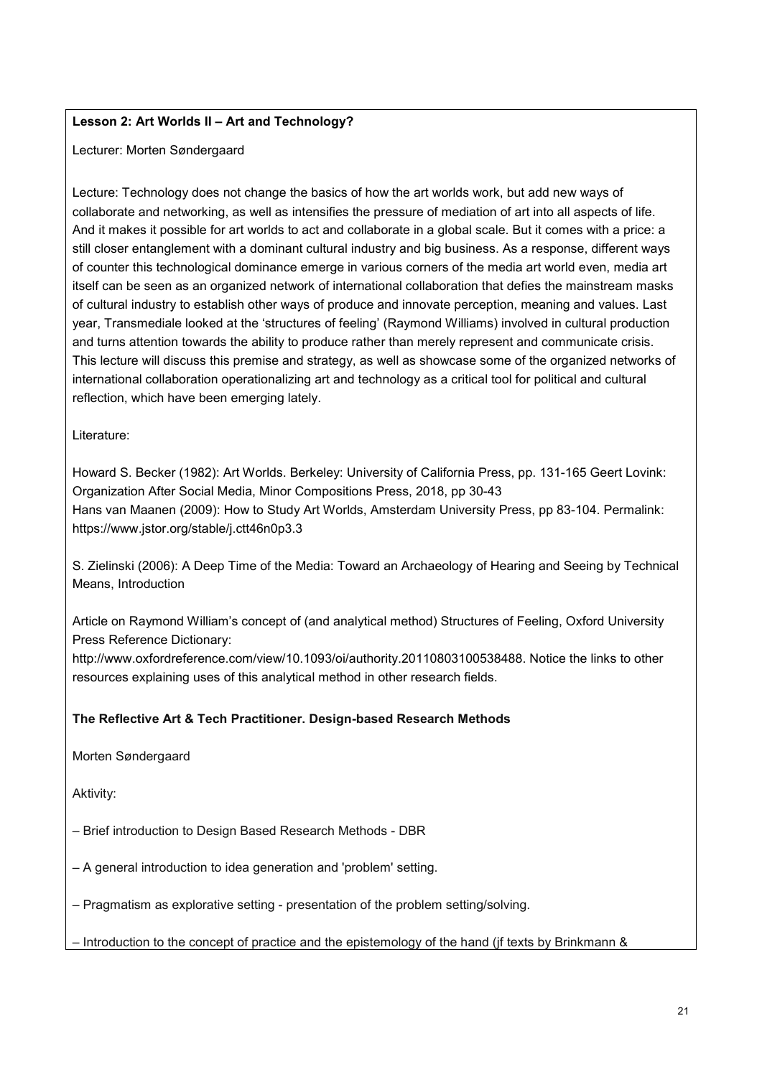# **Lesson 2: Art Worlds II – Art and Technology?**

Lecturer: Morten Søndergaard

Lecture: Technology does not change the basics of how the art worlds work, but add new ways of collaborate and networking, as well as intensifies the pressure of mediation of art into all aspects of life. And it makes it possible for art worlds to act and collaborate in a global scale. But it comes with a price: a still closer entanglement with a dominant cultural industry and big business. As a response, different ways of counter this technological dominance emerge in various corners of the media art world even, media art itself can be seen as an organized network of international collaboration that defies the mainstream masks of cultural industry to establish other ways of produce and innovate perception, meaning and values. Last year, Transmediale looked at the 'structures of feeling' (Raymond Williams) involved in cultural production and turns attention towards the ability to produce rather than merely represent and communicate crisis. This lecture will discuss this premise and strategy, as well as showcase some of the organized networks of international collaboration operationalizing art and technology as a critical tool for political and cultural reflection, which have been emerging lately.

Literature:

Howard S. Becker (1982): Art Worlds. Berkeley: University of California Press, pp. 131-165 Geert Lovink: Organization After Social Media, Minor Compositions Press, 2018, pp 30-43 Hans van Maanen (2009): How to Study Art Worlds, Amsterdam University Press, pp 83-104. Permalink: https://www.jstor.org/stable/j.ctt46n0p3.3

S. Zielinski (2006): A Deep Time of the Media: Toward an Archaeology of Hearing and Seeing by Technical Means, Introduction

Article on Raymond William's concept of (and analytical method) Structures of Feeling, Oxford University Press Reference Dictionary:

http://www.oxfordreference.com/view/10.1093/oi/authority.20110803100538488. Notice the links to other resources explaining uses of this analytical method in other research fields.

## **The Reflective Art & Tech Practitioner. Design-based Research Methods**

Morten Søndergaard

Aktivity:

– Brief introduction to Design Based Research Methods - DBR

– A general introduction to idea generation and 'problem' setting.

– Pragmatism as explorative setting - presentation of the problem setting/solving.

– Introduction to the concept of practice and the epistemology of the hand (jf texts by Brinkmann &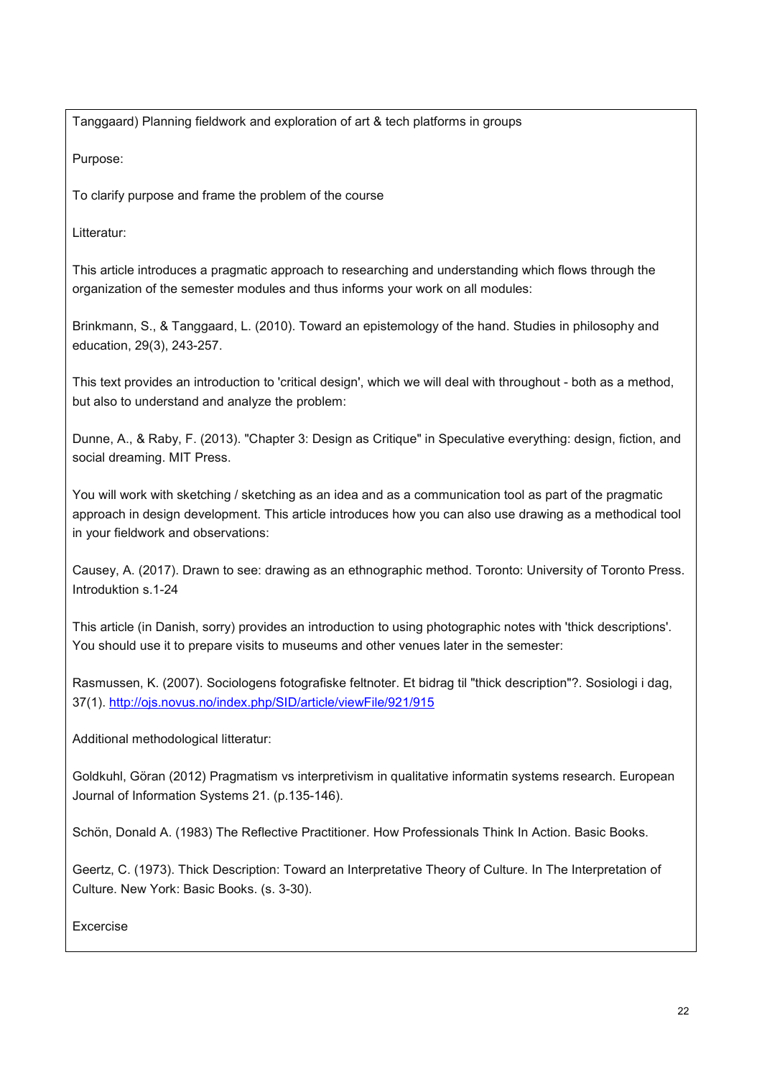Tanggaard) Planning fieldwork and exploration of art & tech platforms in groups

Purpose:

To clarify purpose and frame the problem of the course

Litteratur:

This article introduces a pragmatic approach to researching and understanding which flows through the organization of the semester modules and thus informs your work on all modules:

Brinkmann, S., & Tanggaard, L. (2010). Toward an epistemology of the hand. Studies in philosophy and education, 29(3), 243-257.

This text provides an introduction to 'critical design', which we will deal with throughout - both as a method, but also to understand and analyze the problem:

Dunne, A., & Raby, F. (2013). "Chapter 3: Design as Critique" in Speculative everything: design, fiction, and social dreaming. MIT Press.

You will work with sketching / sketching as an idea and as a communication tool as part of the pragmatic approach in design development. This article introduces how you can also use drawing as a methodical tool in your fieldwork and observations:

Causey, A. (2017). Drawn to see: drawing as an ethnographic method. Toronto: University of Toronto Press. Introduktion s.1-24

This article (in Danish, sorry) provides an introduction to using photographic notes with 'thick descriptions'. You should use it to prepare visits to museums and other venues later in the semester:

Rasmussen, K. (2007). Sociologens fotografiske feltnoter. Et bidrag til "thick description"?. Sosiologi i dag, 37(1).<http://ojs.novus.no/index.php/SID/article/viewFile/921/915>

Additional methodological litteratur:

Goldkuhl, Göran (2012) Pragmatism vs interpretivism in qualitative informatin systems research. European Journal of Information Systems 21. (p.135-146).

Schön, Donald A. (1983) The Reflective Practitioner. How Professionals Think In Action. Basic Books.

Geertz, C. (1973). Thick Description: Toward an Interpretative Theory of Culture. In The Interpretation of Culture. New York: Basic Books. (s. 3-30).

Excercise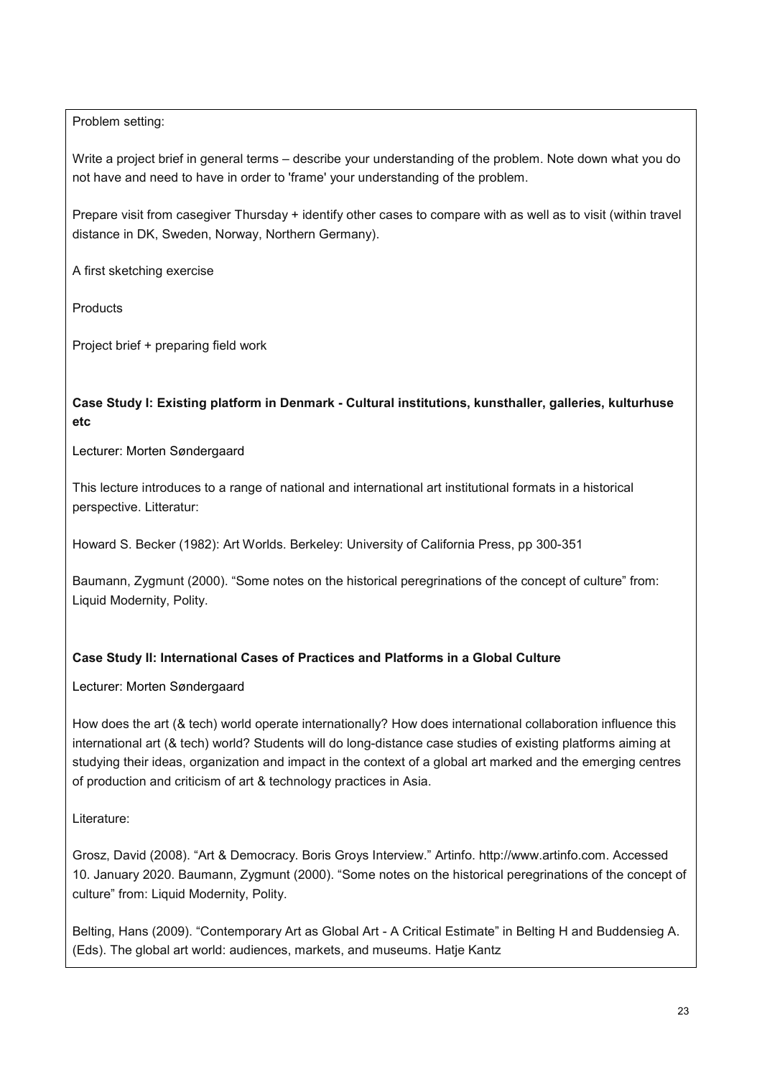Problem setting:

Write a project brief in general terms – describe your understanding of the problem. Note down what you do not have and need to have in order to 'frame' your understanding of the problem.

Prepare visit from casegiver Thursday + identify other cases to compare with as well as to visit (within travel distance in DK, Sweden, Norway, Northern Germany).

A first sketching exercise

**Products** 

Project brief + preparing field work

# **Case Study I: Existing platform in Denmark - Cultural institutions, kunsthaller, galleries, kulturhuse etc**

Lecturer: Morten Søndergaard

This lecture introduces to a range of national and international art institutional formats in a historical perspective. Litteratur:

Howard S. Becker (1982): Art Worlds. Berkeley: University of California Press, pp 300-351

Baumann, Zygmunt (2000). "Some notes on the historical peregrinations of the concept of culture" from: Liquid Modernity, Polity.

# **Case Study II: International Cases of Practices and Platforms in a Global Culture**

Lecturer: Morten Søndergaard

How does the art (& tech) world operate internationally? How does international collaboration influence this international art (& tech) world? Students will do long-distance case studies of existing platforms aiming at studying their ideas, organization and impact in the context of a global art marked and the emerging centres of production and criticism of art & technology practices in Asia.

Literature:

Grosz, David (2008). "Art & Democracy. Boris Groys Interview." Artinfo. http://www.artinfo.com. Accessed 10. January 2020. Baumann, Zygmunt (2000). "Some notes on the historical peregrinations of the concept of culture" from: Liquid Modernity, Polity.

Belting, Hans (2009). "Contemporary Art as Global Art - A Critical Estimate" in Belting H and Buddensieg A. (Eds). The global art world: audiences, markets, and museums. Hatje Kantz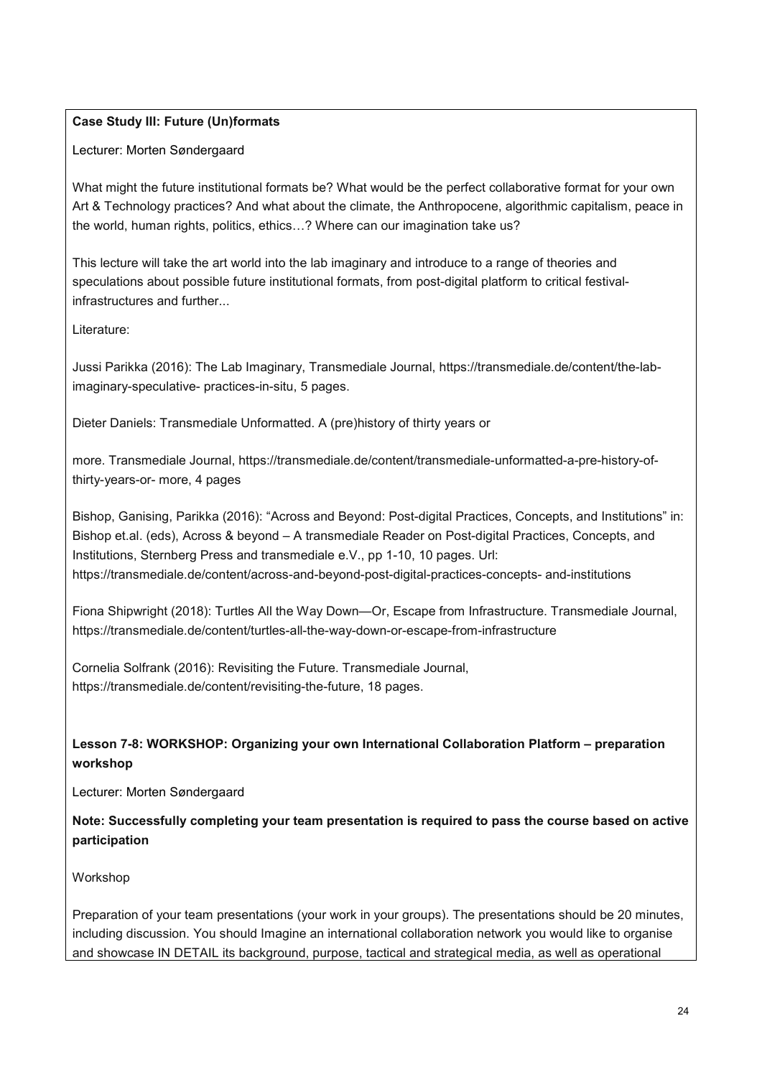## **Case Study III: Future (Un)formats**

### Lecturer: Morten Søndergaard

What might the future institutional formats be? What would be the perfect collaborative format for your own Art & Technology practices? And what about the climate, the Anthropocene, algorithmic capitalism, peace in the world, human rights, politics, ethics…? Where can our imagination take us?

This lecture will take the art world into the lab imaginary and introduce to a range of theories and speculations about possible future institutional formats, from post-digital platform to critical festivalinfrastructures and further...

Literature:

Jussi Parikka (2016): The Lab Imaginary, Transmediale Journal, https://transmediale.de/content/the-labimaginary-speculative- practices-in-situ, 5 pages.

Dieter Daniels: Transmediale Unformatted. A (pre)history of thirty years or

more. Transmediale Journal, https://transmediale.de/content/transmediale-unformatted-a-pre-history-ofthirty-years-or- more, 4 pages

Bishop, Ganising, Parikka (2016): "Across and Beyond: Post-digital Practices, Concepts, and Institutions" in: Bishop et.al. (eds), Across & beyond – A transmediale Reader on Post-digital Practices, Concepts, and Institutions, Sternberg Press and transmediale e.V., pp 1-10, 10 pages. Url: https://transmediale.de/content/across-and-beyond-post-digital-practices-concepts- and-institutions

Fiona Shipwright (2018): Turtles All the Way Down—Or, Escape from Infrastructure. Transmediale Journal, https://transmediale.de/content/turtles-all-the-way-down-or-escape-from-infrastructure

Cornelia Solfrank (2016): Revisiting the Future. Transmediale Journal, https://transmediale.de/content/revisiting-the-future, 18 pages.

# **Lesson 7-8: WORKSHOP: Organizing your own International Collaboration Platform – preparation workshop**

Lecturer: Morten Søndergaard

**Note: Successfully completing your team presentation is required to pass the course based on active participation**

#### Workshop

Preparation of your team presentations (your work in your groups). The presentations should be 20 minutes, including discussion. You should Imagine an international collaboration network you would like to organise and showcase IN DETAIL its background, purpose, tactical and strategical media, as well as operational